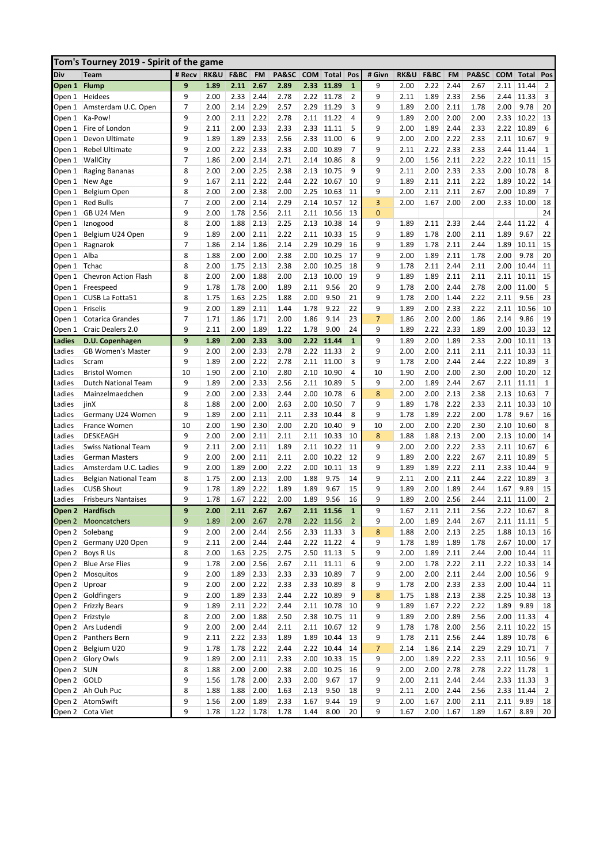|                  | Tom's Tourney 2019 - Spirit of the game           |        |                 |      |           |       |            |              |                |              |                 |      |           |       |            |              |                |
|------------------|---------------------------------------------------|--------|-----------------|------|-----------|-------|------------|--------------|----------------|--------------|-----------------|------|-----------|-------|------------|--------------|----------------|
| Div              | Team                                              | # Recv | <b>RK&amp;U</b> | F&BC | <b>FM</b> | PA&SC | <b>COM</b> | Total        | Pos            | # Givn       | <b>RK&amp;U</b> | F&BC | <b>FM</b> | PA&SC | <b>COM</b> | Total        | Pos            |
| Open 1           | <b>Flump</b>                                      | 9      | 1.89            | 2.11 | 2.67      | 2.89  | 2.33       | 11.89        | $\mathbf{1}$   | 9            | 2.00            | 2.22 | 2.44      | 2.67  | 2.11       | 11.44        | $\overline{2}$ |
| Open 1           | Heidees                                           | 9      | 2.00            | 2.33 | 2.44      | 2.78  | 2.22       | 11.78        | 2              | 9            | 2.11            | 1.89 | 2.33      | 2.56  | 2.44       | 11.33        | 3              |
| Open 1           | Amsterdam U.C. Open                               | 7      | 2.00            | 2.14 | 2.29      | 2.57  | 2.29       | 11.29        | 3              | 9            | 1.89            | 2.00 | 2.11      | 1.78  | 2.00       | 9.78         | 20             |
| Open 1           | Ka-Pow!                                           | 9      | 2.00            | 2.11 | 2.22      | 2.78  | 2.11       | 11.22        | 4              | 9            | 1.89            | 2.00 | 2.00      | 2.00  | 2.33       | 10.22        | 13             |
| Open 1           | Fire of London                                    | 9      | 2.11            | 2.00 | 2.33      | 2.33  | 2.33       | 11.11        | 5              | 9            | 2.00            | 1.89 | 2.44      | 2.33  | 2.22       | 10.89        | 6              |
| Open 1           | Devon Ultimate                                    | 9      | 1.89            | 1.89 | 2.33      | 2.56  | 2.33       | 11.00        | 6              | 9            | 2.00            | 2.00 | 2.22      | 2.33  | 2.11       | 10.67        | 9              |
| Open 1           | <b>Rebel Ultimate</b>                             | 9      | 2.00            | 2.22 | 2.33      | 2.33  | 2.00       | 10.89        | 7              | 9            | 2.11            | 2.22 | 2.33      | 2.33  | 2.44       | 11.44        | 1              |
| Open 1           | WallCity                                          | 7      | 1.86            | 2.00 | 2.14      | 2.71  | 2.14       | 10.86        | 8              | 9            | 2.00            | 1.56 | 2.11      | 2.22  | 2.22       | 10.11        | 15             |
| Open 1           | Raging Bananas                                    | 8      | 2.00            | 2.00 | 2.25      | 2.38  | 2.13       | 10.75        | 9              | 9            | 2.11            | 2.00 | 2.33      | 2.33  | 2.00       | 10.78        | 8              |
| Open 1           | New Age                                           | 9      | 1.67            | 2.11 | 2.22      | 2.44  | 2.22       | 10.67        | 10             | 9            | 1.89            | 2.11 | 2.11      | 2.22  | 1.89       | 10.22        | 14             |
| Open 1           | Belgium Open                                      | 8      | 2.00            | 2.00 | 2.38      | 2.00  | 2.25       | 10.63        | 11             | 9            | 2.00            | 2.11 | 2.11      | 2.67  | 2.00       | 10.89        | $\overline{7}$ |
| Open 1           | <b>Red Bulls</b>                                  | 7      | 2.00            | 2.00 | 2.14      | 2.29  | 2.14       | 10.57        | 12             | 3            | 2.00            | 1.67 | 2.00      | 2.00  | 2.33       | 10.00        | 18             |
| Open 1           | GB U24 Men                                        | 9      | 2.00            | 1.78 | 2.56      | 2.11  | 2.11       | 10.56        | 13             | $\mathbf{0}$ |                 |      |           |       |            |              | 24             |
| Open 1           | Iznogood                                          | 8      | 2.00            | 1.88 | 2.13      | 2.25  | 2.13       | 10.38        | 14             | 9            | 1.89            | 2.11 | 2.33      | 2.44  | 2.44       | 11.22        | 4              |
| Open 1           | Belgium U24 Open                                  | 9      | 1.89            | 2.00 | 2.11      | 2.22  | 2.11       | 10.33        | 15             | 9            | 1.89            | 1.78 | 2.00      | 2.11  | 1.89       | 9.67         | 22             |
| Open 1           | Ragnarok                                          | 7      | 1.86            | 2.14 | 1.86      | 2.14  | 2.29       | 10.29        | 16             | 9            | 1.89            | 1.78 | 2.11      | 2.44  | 1.89       | 10.11        | 15             |
| Open 1           | Alba                                              | 8      | 1.88            | 2.00 | 2.00      | 2.38  | 2.00       | 10.25        | 17             | 9            | 2.00            | 1.89 | 2.11      | 1.78  | 2.00       | 9.78         | 20             |
| Open 1           | Tchac                                             | 8      | 2.00            | 1.75 | 2.13      | 2.38  | 2.00       | 10.25        | 18             | 9            | 1.78            | 2.11 | 2.44      | 2.11  | 2.00       | 10.44        | 11             |
| Open 1           | <b>Chevron Action Flash</b>                       | 8      | 2.00            | 2.00 | 1.88      | 2.00  | 2.13       | 10.00        | 19             | 9            | 1.89            | 1.89 | 2.11      | 2.11  | 2.11       | 10.11        | 15             |
| Open 1           | Freespeed                                         | 9      | 1.78            | 1.78 | 2.00      | 1.89  | 2.11       | 9.56         | 20             | 9            | 1.78            | 2.00 | 2.44      | 2.78  | 2.00       | 11.00        | 5              |
| Open 1           | CUSB La Fotta51                                   | 8      | 1.75            | 1.63 | 2.25      | 1.88  | 2.00       | 9.50         | 21             | 9            | 1.78            | 2.00 | 1.44      | 2.22  | 2.11       | 9.56         | 23             |
| Open 1           | Friselis                                          | 9      | 2.00            | 1.89 | 2.11      | 1.44  | 1.78       | 9.22         | 22             | 9            | 1.89            | 2.00 | 2.33      | 2.22  | 2.11       | 10.56        | 10             |
| Open 1           | Cotarica Grandes                                  | 7      | 1.71            | 1.86 | 1.71      | 2.00  | 1.86       | 9.14         | 23             | 7            | 1.86            | 2.00 | 2.00      | 1.86  | 2.14       | 9.86         | 19             |
| Open 1           | Craic Dealers 2.0                                 | 9      | 2.11            | 2.00 | 1.89      | 1.22  | 1.78       | 9.00         | 24             | 9            | 1.89            | 2.22 | 2.33      | 1.89  | 2.00       | 10.33        | 12             |
| Ladies           | D.U. Copenhagen                                   | 9      | 1.89            | 2.00 | 2.33      | 3.00  | 2.22       | 11.44        | $\mathbf{1}$   | 9            | 1.89            | 2.00 | 1.89      | 2.33  | 2.00       | 10.11        | 13             |
| Ladies           | <b>GB Women's Master</b>                          | 9      | 2.00            | 2.00 | 2.33      | 2.78  | 2.22       | 11.33        | 2              | 9            | 2.00            | 2.00 | 2.11      | 2.11  | 2.11       | 10.33        | 11             |
| Ladies           | Scram                                             | 9      | 1.89            | 2.00 | 2.22      | 2.78  | 2.11       | 11.00        | 3              | 9            | 1.78            | 2.00 | 2.44      | 2.44  | 2.22       | 10.89        | 3              |
| Ladies           | <b>Bristol Women</b>                              | 10     | 1.90            | 2.00 | 2.10      | 2.80  | 2.10       | 10.90        | 4              | 10           | 1.90            | 2.00 | 2.00      | 2.30  | 2.00       | 10.20        | 12             |
| Ladies           | <b>Dutch National Team</b>                        | 9      | 1.89            | 2.00 | 2.33      | 2.56  | 2.11       | 10.89        | 5              | 9            | 2.00            | 1.89 | 2.44      | 2.67  | 2.11       | 11.11        | 1              |
| Ladies           | Mainzelmaedchen                                   | 9      | 2.00            | 2.00 | 2.33      | 2.44  | 2.00       | 10.78        | 6              | 8            | 2.00            | 2.00 | 2.13      | 2.38  | 2.13       | 10.63        | $\overline{7}$ |
| Ladies           | jinX                                              | 8      | 1.88            | 2.00 | 2.00      | 2.63  | 2.00       | 10.50        | 7              | 9            | 1.89            | 1.78 | 2.22      | 2.33  | 2.11       | 10.33        | 10             |
| Ladies           | Germany U24 Women                                 | 9      | 1.89            | 2.00 | 2.11      | 2.11  | 2.33       | 10.44        | 8              | 9            | 1.78            | 1.89 | 2.22      | 2.00  | 1.78       | 9.67         | 16             |
| Ladies           | France Women                                      | 10     | 2.00            | 1.90 | 2.30      | 2.00  | 2.20       | 10.40        | 9              | 10           | 2.00            | 2.00 | 2.20      | 2.30  | 2.10       | 10.60        | 8              |
| Ladies           | <b>DESKEAGH</b>                                   | 9      | 2.00            | 2.00 | 2.11      | 2.11  | 2.11       | 10.33        | 10             | 8            | 1.88            | 1.88 | 2.13      | 2.00  | 2.13       | 10.00        | 14             |
| Ladies           |                                                   | 9      | 2.11            | 2.00 | 2.11      | 1.89  | 2.11       | 10.22        | 11             | 9            | 2.00            | 2.00 | 2.22      | 2.33  | 2.11       | 10.67        | 6              |
| Ladies           | Swiss National Team<br><b>German Masters</b>      | 9      | 2.00            | 2.00 | 2.11      | 2.11  | 2.00       | 10.22        | 12             | 9            | 1.89            | 2.00 | 2.22      | 2.67  | 2.11       | 10.89        | 5              |
| Ladies           | Amsterdam U.C. Ladies                             | 9      | 2.00            | 1.89 | 2.00      | 2.22  | 2.00       | 10.11        | 13             | 9            | 1.89            | 1.89 | 2.22      | 2.11  | 2.33       | 10.44        | 9              |
|                  |                                                   | 8      | 1.75            | 2.00 | 2.13      | 2.00  | 1.88       | 9.75         | 14             | 9            | 2.11            | 2.00 | 2.11      | 2.44  | 2.22       | 10.89        | 3              |
| Ladies<br>Ladies | <b>Belgian National Team</b><br><b>CUSB Shout</b> | 9      |                 | 1.89 | 2.22      | 1.89  | 1.89       | 9.67         | 15             | 9            | 1.89            | 2.00 | 1.89      | 2.44  | 1.67       | 9.89         | 15             |
|                  | <b>Frisbeurs Nantaises</b>                        | 9      | 1.78<br>1.78    | 1.67 | 2.22      | 2.00  | 1.89       | 9.56         | 16             | 9            | 1.89            | 2.00 | 2.56      | 2.44  | 2.11       | 11.00        | $\overline{2}$ |
| Ladies           |                                                   | 9      | 2.00            | 2.11 | 2.67      |       |            |              | $\mathbf{1}$   | 9            |                 | 2.11 |           | 2.56  | 2.22       |              | 8              |
|                  | Open 2 Hardfisch                                  |        |                 |      |           | 2.67  |            | 2.11 11.56   |                |              | 1.67            |      | 2.11      |       |            | 10.67        |                |
| Open 2           | Mooncatchers                                      | 9      | 1.89            | 2.00 | 2.67      | 2.78  |            | 2.22 11.56   | $\overline{2}$ | 9            | 2.00            | 1.89 | 2.44      | 2.67  |            | $2.11$ 11.11 | 5              |
| Open 2           | Solebang                                          | 9      | 2.00            | 2.00 | 2.44      | 2.56  | 2.33       | 11.33        | 3              | 8            | 1.88            | 2.00 | 2.13      | 2.25  | 1.88       | 10.13        | 16             |
| Open 2           | Germany U20 Open                                  | 9      | 2.11            | 2.00 | 2.44      | 2.44  |            | $2.22$ 11.22 | 4              | 9            | 1.78            | 1.89 | 1.89      | 1.78  |            | $2.67$ 10.00 | 17             |
| Open 2           | Boys R Us                                         | 8      | 2.00            | 1.63 | 2.25      | 2.75  |            | $2.50$ 11.13 | 5              | 9            | 2.00            | 1.89 | 2.11      | 2.44  |            | $2.00$ 10.44 | 11             |
| Open 2           | <b>Blue Arse Flies</b>                            | 9      | 1.78            | 2.00 | 2.56      | 2.67  | 2.11       | 11.11        | 6              | 9            | 2.00            | 1.78 | 2.22      | 2.11  | 2.22       | 10.33        | 14             |
| Open 2           | Mosquitos                                         | 9      | 2.00            | 1.89 | 2.33      | 2.33  | 2.33       | 10.89        | 7              | 9            | 2.00            | 2.00 | 2.11      | 2.44  |            | 2.00 10.56   | 9              |
| Open 2           | Uproar                                            | 9      | 2.00            | 2.00 | 2.22      | 2.33  | 2.33       | 10.89        | 8              | 9            | 1.78            | 2.00 | 2.33      | 2.33  | 2.00       | 10.44        | 11             |
| Open 2           | Goldfingers                                       | 9      | 2.00            | 1.89 | 2.33      | 2.44  |            | 2.22 10.89   | 9              | 8            | 1.75            | 1.88 | 2.13      | 2.38  | 2.25       | 10.38        | 13             |
| Open 2           | <b>Frizzly Bears</b>                              | 9      | 1.89            | 2.11 | 2.22      | 2.44  | 2.11       | 10.78        | 10             | 9            | 1.89            | 1.67 | 2.22      | 2.22  | 1.89       | 9.89         | 18             |
| Open 2           | Frizstyle                                         | 8      | 2.00            | 2.00 | 1.88      | 2.50  | 2.38       | 10.75        | 11             | 9            | 1.89            | 2.00 | 2.89      | 2.56  |            | $2.00$ 11.33 | 4              |
| Open 2           | Ars Ludendi                                       | 9      | 2.00            | 2.00 | 2.44      | 2.11  |            | $2.11$ 10.67 | 12             | 9            | 1.78            | 1.78 | 2.00      | 2.56  |            | $2.11$ 10.22 | 15             |
| Open 2           | Panthers Bern                                     | 9      | 2.11            | 2.22 | 2.33      | 1.89  | 1.89       | 10.44        | 13             | 9            | 1.78            | 2.11 | 2.56      | 2.44  | 1.89       | 10.78        | 6              |
| Open 2           | Belgium U20                                       | 9      | 1.78            | 1.78 | 2.22      | 2.44  | 2.22       | 10.44        | 14             | 7            | 2.14            | 1.86 | 2.14      | 2.29  | 2.29       | 10.71        | $\overline{7}$ |
| Open 2           | Glory Owls                                        | 9      | 1.89            | 2.00 | 2.11      | 2.33  | 2.00       | 10.33        | 15             | 9            | 2.00            | 1.89 | 2.22      | 2.33  |            | $2.11$ 10.56 | 9              |
| Open 2           | <b>SUN</b>                                        | 8      | 1.88            | 2.00 | 2.00      | 2.38  | 2.00       | 10.25        | 16             | 9            | 2.00            | 2.00 | 2.78      | 2.78  |            | $2.22$ 11.78 | 1              |
| Open 2           | GOLD                                              | 9      | 1.56            | 1.78 | 2.00      | 2.33  | 2.00       | 9.67         | 17             | 9            | 2.00            | 2.11 | 2.44      | 2.44  | 2.33       | 11.33        | 3              |
| Open 2           | Ah Ouh Puc                                        | 8      | 1.88            | 1.88 | 2.00      | 1.63  | 2.13       | 9.50         | 18             | 9            | 2.11            | 2.00 | 2.44      | 2.56  | 2.33       | 11.44        | 2              |
| Open 2           | AtomSwift                                         | 9      | 1.56            | 2.00 | 1.89      | 2.33  | 1.67       | 9.44         | 19             | 9            | 2.00            | 1.67 | 2.00      | 2.11  | 2.11       | 9.89         | 18             |
|                  | Open 2 Cota Viet                                  | 9      | 1.78            | 1.22 | 1.78      | 1.78  | 1.44       | 8.00         | 20             | 9            | 1.67            | 2.00 | 1.67      | 1.89  | 1.67       | 8.89         | 20             |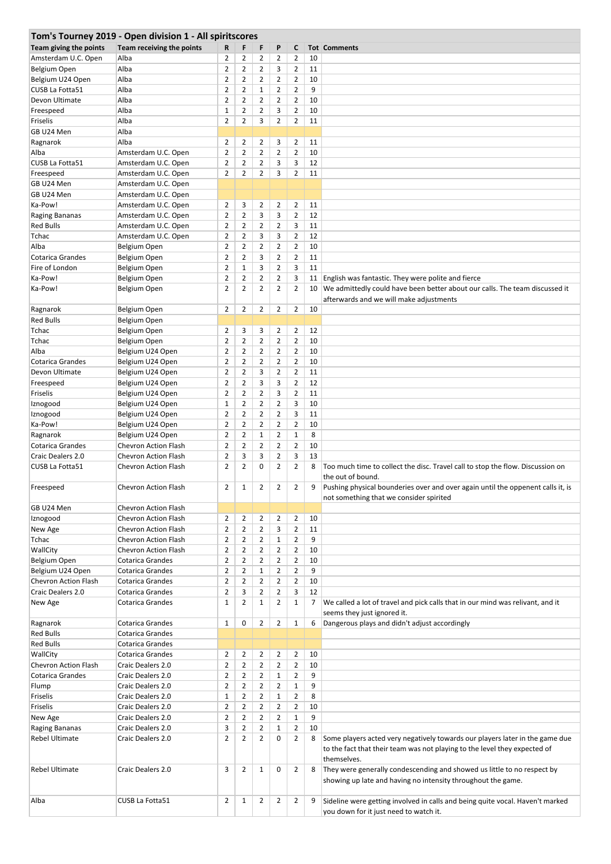|                                         | Tom's Tourney 2019 - Open division 1 - All spiritscores |                |                |                |                |                |    |                                                                                                                                         |
|-----------------------------------------|---------------------------------------------------------|----------------|----------------|----------------|----------------|----------------|----|-----------------------------------------------------------------------------------------------------------------------------------------|
| Team giving the points                  | Team receiving the points                               | R              | F              | F              | P              | C              |    | <b>Tot Comments</b>                                                                                                                     |
| Amsterdam U.C. Open                     | Alba                                                    | $\overline{2}$ | $\overline{2}$ | $\overline{2}$ | 2              | 2              | 10 |                                                                                                                                         |
| Belgium Open                            | Alba                                                    | $\overline{2}$ | $\overline{2}$ | $\overline{2}$ | 3              | $\overline{2}$ | 11 |                                                                                                                                         |
| Belgium U24 Open                        | Alba                                                    | $\overline{2}$ | $\overline{2}$ | $\overline{2}$ | 2              | $\overline{2}$ | 10 |                                                                                                                                         |
| CUSB La Fotta51                         | Alba                                                    | $\overline{2}$ | $\overline{2}$ | $\mathbf 1$    | 2              | $\overline{2}$ | 9  |                                                                                                                                         |
| Devon Ultimate                          | Alba                                                    | $\overline{2}$ | $\overline{2}$ | $\overline{2}$ | 2              | $\overline{2}$ | 10 |                                                                                                                                         |
| Freespeed                               | Alba                                                    | $\mathbf 1$    | $\overline{2}$ | $\overline{2}$ | 3              | $\overline{2}$ | 10 |                                                                                                                                         |
| Friselis                                | Alba                                                    | $\overline{2}$ | $\overline{2}$ | 3              | $\overline{2}$ | $\overline{2}$ | 11 |                                                                                                                                         |
| GB U24 Men                              | Alba                                                    |                |                |                |                |                |    |                                                                                                                                         |
| Ragnarok                                | Alba                                                    | $\overline{2}$ | 2              | $\overline{2}$ | 3              | $\overline{2}$ | 11 |                                                                                                                                         |
| Alba                                    | Amsterdam U.C. Open                                     | $\overline{2}$ | $\overline{2}$ | $\overline{2}$ | $\overline{2}$ | $\overline{2}$ | 10 |                                                                                                                                         |
| CUSB La Fotta51                         | Amsterdam U.C. Open                                     | $\overline{2}$ | $\overline{2}$ | $\overline{2}$ | 3              | 3              | 12 |                                                                                                                                         |
| Freespeed                               | Amsterdam U.C. Open                                     | $\overline{2}$ | $\overline{2}$ | $\overline{2}$ | 3              | $\overline{2}$ | 11 |                                                                                                                                         |
| GB U24 Men                              | Amsterdam U.C. Open                                     |                |                |                |                |                |    |                                                                                                                                         |
| GB U24 Men                              | Amsterdam U.C. Open                                     |                |                |                |                |                |    |                                                                                                                                         |
| Ka-Pow!                                 | Amsterdam U.C. Open                                     | $\overline{2}$ | 3              | 2              | 2              | $\overline{2}$ | 11 |                                                                                                                                         |
| Raging Bananas                          | Amsterdam U.C. Open                                     | $\overline{2}$ | $\overline{2}$ | 3              | 3              | $\overline{2}$ | 12 |                                                                                                                                         |
| <b>Red Bulls</b>                        | Amsterdam U.C. Open                                     | $\overline{2}$ | $\overline{2}$ | $\overline{2}$ | $\overline{2}$ | 3              | 11 |                                                                                                                                         |
| Tchac                                   | Amsterdam U.C. Open                                     | $\overline{2}$ | $\overline{2}$ | 3              | 3              | $\overline{2}$ | 12 |                                                                                                                                         |
| Alba                                    | Belgium Open                                            | $\overline{2}$ | $\overline{2}$ | $\overline{2}$ | 2              | $\overline{2}$ | 10 |                                                                                                                                         |
| <b>Cotarica Grandes</b>                 | Belgium Open                                            | $\overline{2}$ | $\overline{2}$ | 3              | $\overline{2}$ | $\overline{2}$ | 11 |                                                                                                                                         |
| Fire of London                          | Belgium Open                                            | $\overline{2}$ | $\mathbf{1}$   | 3              | 2              | 3              | 11 |                                                                                                                                         |
| Ka-Pow!                                 | Belgium Open                                            | $\overline{2}$ | $\overline{2}$ | $\overline{2}$ | $\overline{2}$ | 3              | 11 | English was fantastic. They were polite and fierce                                                                                      |
| Ka-Pow!                                 | Belgium Open                                            | $\overline{2}$ | $\overline{2}$ | $\overline{2}$ | $\overline{2}$ | $\overline{2}$ | 10 | We admittedly could have been better about our calls. The team discussed it                                                             |
|                                         |                                                         |                |                |                |                |                |    | afterwards and we will make adjustments                                                                                                 |
| Ragnarok                                | Belgium Open                                            | $\overline{2}$ | $\overline{2}$ | $\overline{2}$ | $\overline{2}$ | $\overline{2}$ | 10 |                                                                                                                                         |
| <b>Red Bulls</b>                        | Belgium Open                                            |                |                |                |                |                |    |                                                                                                                                         |
| Tchac                                   | Belgium Open                                            | $\overline{2}$ | 3              | 3              | 2              | $\overline{2}$ | 12 |                                                                                                                                         |
| Tchac                                   | Belgium Open                                            | $\overline{2}$ | $\overline{2}$ | $\overline{2}$ | 2              | $\overline{2}$ | 10 |                                                                                                                                         |
| Alba                                    | Belgium U24 Open                                        | $\overline{2}$ | $\overline{2}$ | $\overline{2}$ | 2              | $\overline{2}$ | 10 |                                                                                                                                         |
| <b>Cotarica Grandes</b>                 | Belgium U24 Open                                        | $\overline{2}$ | $\overline{2}$ | $\overline{2}$ | $\overline{2}$ | $\overline{2}$ | 10 |                                                                                                                                         |
| Devon Ultimate                          | Belgium U24 Open                                        | $\overline{2}$ | $\overline{2}$ | 3              | 2              | $\overline{2}$ | 11 |                                                                                                                                         |
| Freespeed                               | Belgium U24 Open                                        | $\overline{2}$ | $\overline{2}$ | 3              | 3              | $\overline{2}$ | 12 |                                                                                                                                         |
| Friselis                                | Belgium U24 Open                                        | $\overline{2}$ | $\overline{2}$ | $\overline{2}$ | 3              | $\overline{2}$ | 11 |                                                                                                                                         |
| Iznogood                                | Belgium U24 Open                                        | $\mathbf 1$    | $\overline{2}$ | $\overline{2}$ | $\overline{2}$ | 3              | 10 |                                                                                                                                         |
| Iznogood                                | Belgium U24 Open                                        | $\overline{2}$ | 2              | $\overline{2}$ | 2              | 3              | 11 |                                                                                                                                         |
| Ka-Pow!                                 | Belgium U24 Open                                        | $\overline{2}$ | $\overline{2}$ | $\overline{2}$ | 2              | $\overline{2}$ | 10 |                                                                                                                                         |
| Ragnarok                                | Belgium U24 Open                                        | $\overline{2}$ | $\overline{2}$ | $\mathbf{1}$   | $\overline{2}$ | $\mathbf{1}$   | 8  |                                                                                                                                         |
| <b>Cotarica Grandes</b>                 | <b>Chevron Action Flash</b>                             | $\overline{2}$ | $\overline{2}$ | $\overline{2}$ | 2              | $\overline{2}$ | 10 |                                                                                                                                         |
| Craic Dealers 2.0                       | <b>Chevron Action Flash</b>                             | $\overline{2}$ | 3              | 3              | $\overline{2}$ | 3              | 13 |                                                                                                                                         |
| CUSB La Fotta51                         | <b>Chevron Action Flash</b>                             | $\overline{2}$ | $\overline{2}$ | 0              | $\overline{2}$ | $\overline{2}$ | 8  | Too much time to collect the disc. Travel call to stop the flow. Discussion on                                                          |
|                                         |                                                         |                |                |                |                |                |    | the out of bound.                                                                                                                       |
| Freespeed                               | <b>Chevron Action Flash</b>                             | $\overline{2}$ | $\mathbf{1}$   | 2              | 2              | 2              | 9  | Pushing physical bounderies over and over again until the oppenent calls it, is                                                         |
|                                         |                                                         |                |                |                |                |                |    | not something that we consider spirited                                                                                                 |
| GB U24 Men                              | <b>Chevron Action Flash</b>                             |                |                |                |                |                |    |                                                                                                                                         |
| Iznogood                                | Chevron Action Flash                                    | $\overline{2}$ | 2              | 2              | 2              | $\overline{2}$ | 10 |                                                                                                                                         |
| New Age                                 | <b>Chevron Action Flash</b>                             | $\overline{2}$ | $\overline{2}$ | $\overline{2}$ | 3              | $\overline{2}$ | 11 |                                                                                                                                         |
| Tchac                                   | <b>Chevron Action Flash</b>                             | $\overline{2}$ | $\overline{2}$ | $\overline{2}$ | 1              | $\overline{2}$ | 9  |                                                                                                                                         |
| WallCity                                | <b>Chevron Action Flash</b>                             | $\overline{2}$ | $\overline{2}$ | $\overline{2}$ | 2              | $\overline{2}$ | 10 |                                                                                                                                         |
| Belgium Open                            | Cotarica Grandes                                        | $\overline{2}$ | $\overline{2}$ | $\overline{2}$ | 2              | $\overline{2}$ | 10 |                                                                                                                                         |
| Belgium U24 Open                        | <b>Cotarica Grandes</b>                                 | $\overline{2}$ | $\overline{2}$ | $\mathbf{1}$   | 2              | $\overline{2}$ | 9  |                                                                                                                                         |
| Chevron Action Flash                    | <b>Cotarica Grandes</b>                                 | $\overline{2}$ | $\overline{2}$ | $\overline{2}$ | 2              | $\overline{2}$ | 10 |                                                                                                                                         |
| <b>Craic Dealers 2.0</b>                | <b>Cotarica Grandes</b>                                 | $\overline{2}$ | 3              | $\overline{2}$ | 2              | 3              | 12 |                                                                                                                                         |
| New Age                                 | Cotarica Grandes                                        | $\mathbf{1}$   | $\overline{2}$ | $\mathbf{1}$   | 2              | $\mathbf{1}$   | 7  | We called a lot of travel and pick calls that in our mind was relivant, and it                                                          |
|                                         |                                                         |                |                |                |                |                |    | seems they just ignored it.                                                                                                             |
| Ragnarok                                | <b>Cotarica Grandes</b>                                 | 1              | 0              | $\overline{2}$ | 2              | $\mathbf{1}$   | 6  | Dangerous plays and didn't adjust accordingly                                                                                           |
| <b>Red Bulls</b>                        | <b>Cotarica Grandes</b>                                 |                |                |                |                |                |    |                                                                                                                                         |
| <b>Red Bulls</b>                        | Cotarica Grandes                                        |                |                |                |                |                |    |                                                                                                                                         |
| WallCity                                | <b>Cotarica Grandes</b>                                 | $\overline{2}$ | 2              | $\overline{2}$ | 2              | $\overline{2}$ | 10 |                                                                                                                                         |
| <b>Chevron Action Flash</b>             | Craic Dealers 2.0                                       | $\overline{2}$ | $\overline{2}$ | $\overline{2}$ | $\overline{2}$ | $\overline{2}$ | 10 |                                                                                                                                         |
| Cotarica Grandes                        | Craic Dealers 2.0                                       | $\overline{2}$ | $\overline{2}$ | $\overline{2}$ | 1              | $\overline{2}$ | 9  |                                                                                                                                         |
| Flump                                   | Craic Dealers 2.0                                       | $\overline{2}$ | $\overline{2}$ | $\overline{2}$ | 2              | $\mathbf{1}$   | 9  |                                                                                                                                         |
| Friselis                                | Craic Dealers 2.0                                       | $1\,$          | 2              | $\overline{2}$ | 1              | $\overline{2}$ | 8  |                                                                                                                                         |
| Friselis                                | Craic Dealers 2.0                                       | $\overline{2}$ | $\overline{2}$ | $\overline{2}$ | 2              | $\overline{2}$ | 10 |                                                                                                                                         |
| New Age                                 | Craic Dealers 2.0                                       | $\overline{2}$ | $\overline{2}$ | $\overline{2}$ | $\overline{2}$ | $\mathbf{1}$   | 9  |                                                                                                                                         |
|                                         | Craic Dealers 2.0                                       | 3              | 2              | 2              | $\mathbf{1}$   | $\overline{2}$ | 10 |                                                                                                                                         |
| Raging Bananas<br><b>Rebel Ultimate</b> | Craic Dealers 2.0                                       | $\overline{2}$ | $\overline{2}$ | $\overline{2}$ | 0              | $\overline{2}$ | 8  | Some players acted very negatively towards our players later in the game due                                                            |
|                                         |                                                         |                |                |                |                |                |    | to the fact that their team was not playing to the level they expected of<br>themselves.                                                |
| <b>Rebel Ultimate</b>                   | Craic Dealers 2.0                                       | 3              | $\overline{2}$ | 1              | 0              | $\overline{2}$ | 8  | They were generally condescending and showed us little to no respect by<br>showing up late and having no intensity throughout the game. |
| Alba                                    | CUSB La Fotta51                                         | $\overline{2}$ | $\mathbf{1}$   | 2              | 2              | $\overline{2}$ | 9  | Sideline were getting involved in calls and being quite vocal. Haven't marked<br>you down for it just need to watch it.                 |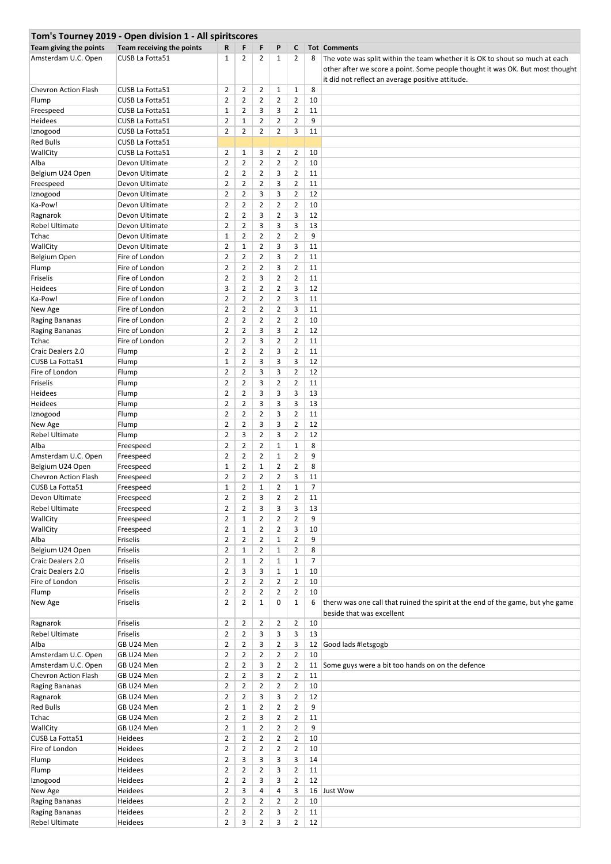|                        | Tom's Tourney 2019 - Open division 1 - All spiritscores |                |                |                |                |                |                |                                                                                |
|------------------------|---------------------------------------------------------|----------------|----------------|----------------|----------------|----------------|----------------|--------------------------------------------------------------------------------|
| Team giving the points | Team receiving the points                               | R              | F              | F              | P              | C              |                | <b>Tot Comments</b>                                                            |
| Amsterdam U.C. Open    | CUSB La Fotta51                                         | $\mathbf{1}$   | 2              | $\overline{2}$ | 1              | $\overline{2}$ | 8              | The vote was split within the team whether it is OK to shout so much at each   |
|                        |                                                         |                |                |                |                |                |                | other after we score a point. Some people thought it was OK. But most thought  |
|                        |                                                         |                |                |                |                |                |                | it did not reflect an average positive attitude.                               |
| Chevron Action Flash   | CUSB La Fotta51                                         | $\overline{2}$ | $\overline{2}$ | $\overline{2}$ | $\mathbf{1}$   | $\mathbf{1}$   | 8              |                                                                                |
| Flump                  | CUSB La Fotta51                                         | $\overline{2}$ | 2              | $\overline{2}$ | $\overline{2}$ | $\overline{2}$ | 10             |                                                                                |
| Freespeed              | CUSB La Fotta51                                         | $\mathbf 1$    | $\overline{2}$ | 3              | 3              | $\overline{2}$ | 11             |                                                                                |
| Heidees                | CUSB La Fotta51                                         | $\overline{2}$ | $\mathbf{1}$   | $\overline{2}$ | $\overline{2}$ | $\overline{2}$ | 9              |                                                                                |
| Iznogood               | CUSB La Fotta51                                         | $\overline{2}$ | $\overline{2}$ | $\overline{2}$ | $\overline{2}$ | 3              | 11             |                                                                                |
| <b>Red Bulls</b>       | CUSB La Fotta51                                         |                |                |                |                |                |                |                                                                                |
| WallCity               | CUSB La Fotta51                                         | $\overline{2}$ | 1              | 3              | $\overline{2}$ | $\overline{2}$ | 10             |                                                                                |
| Alba                   | Devon Ultimate                                          | $\overline{2}$ | $\overline{2}$ | $\overline{2}$ | $\overline{2}$ | $\overline{2}$ | 10             |                                                                                |
| Belgium U24 Open       | Devon Ultimate                                          | $\overline{2}$ | $\overline{2}$ | $\overline{2}$ | 3              | $\overline{2}$ | 11             |                                                                                |
| Freespeed              | Devon Ultimate                                          | $\overline{2}$ | $\overline{2}$ | $\overline{2}$ | 3              | $\overline{2}$ | 11             |                                                                                |
| Iznogood               | Devon Ultimate                                          | $\overline{2}$ | $\overline{2}$ | 3              | 3              | $\overline{2}$ | 12             |                                                                                |
| Ka-Pow!                | Devon Ultimate                                          | $\overline{2}$ | 2              | $\overline{2}$ | $\overline{2}$ | $\overline{2}$ | 10             |                                                                                |
| Ragnarok               | Devon Ultimate                                          | $\overline{2}$ | $\overline{2}$ | 3              | $\overline{2}$ | 3              | 12             |                                                                                |
|                        |                                                         | $\overline{2}$ | $\overline{2}$ | 3              | 3              | 3              | 13             |                                                                                |
| <b>Rebel Ultimate</b>  | Devon Ultimate                                          |                |                |                |                |                |                |                                                                                |
| Tchac                  | Devon Ultimate                                          | 1              | 2              | $\overline{2}$ | 2              | $\overline{2}$ | 9              |                                                                                |
| WallCity               | Devon Ultimate                                          | $\overline{2}$ | $\mathbf{1}$   | $\overline{2}$ | 3              | 3              | 11             |                                                                                |
| Belgium Open           | Fire of London                                          | $\overline{2}$ | 2              | $\overline{2}$ | 3              | $\overline{2}$ | 11             |                                                                                |
| Flump                  | Fire of London                                          | $\overline{2}$ | $\overline{2}$ | $\overline{2}$ | 3              | $\overline{2}$ | 11             |                                                                                |
| Friselis               | Fire of London                                          | $\overline{2}$ | $\overline{2}$ | 3              | $\overline{2}$ | $\overline{2}$ | 11             |                                                                                |
| Heidees                | Fire of London                                          | 3              | $\overline{2}$ | $\overline{2}$ | $\overline{2}$ | 3              | 12             |                                                                                |
| Ka-Pow!                | Fire of London                                          | $\overline{2}$ | $\overline{2}$ | $\overline{2}$ | $\overline{2}$ | 3              | 11             |                                                                                |
| New Age                | Fire of London                                          | $\overline{2}$ | 2              | $\overline{2}$ | 2              | 3              | 11             |                                                                                |
| Raging Bananas         | Fire of London                                          | $\overline{2}$ | $\overline{2}$ | $\overline{2}$ | $\overline{2}$ | $\overline{2}$ | 10             |                                                                                |
| Raging Bananas         | Fire of London                                          | $\overline{2}$ | $\overline{2}$ | 3              | 3              | $\overline{2}$ | 12             |                                                                                |
| Tchac                  | Fire of London                                          | $\overline{2}$ | 2              | 3              | 2              | $\overline{2}$ | 11             |                                                                                |
| Craic Dealers 2.0      | Flump                                                   | $\overline{2}$ | $\overline{2}$ | $\overline{2}$ | 3              | $\overline{2}$ | 11             |                                                                                |
| CUSB La Fotta51        | Flump                                                   | $\mathbf{1}$   | $\overline{2}$ | 3              | 3              | 3              | 12             |                                                                                |
| Fire of London         | Flump                                                   | $\overline{2}$ | $\overline{2}$ | 3              | 3              | $\overline{2}$ | 12             |                                                                                |
| Friselis               | Flump                                                   | $\overline{2}$ | $\overline{2}$ | 3              | $\overline{2}$ | $\overline{2}$ | 11             |                                                                                |
| Heidees                | Flump                                                   | $\overline{2}$ | $\overline{2}$ | 3              | 3              | 3              | 13             |                                                                                |
| Heidees                | Flump                                                   | $\overline{2}$ | $\overline{2}$ | 3              | 3              | 3              | 13             |                                                                                |
| Iznogood               | Flump                                                   | $\overline{2}$ | 2              | $\overline{2}$ | 3              | $\overline{2}$ | 11             |                                                                                |
| New Age                | Flump                                                   | $\overline{2}$ | $\overline{2}$ | 3              | 3              | $\overline{2}$ | 12             |                                                                                |
| <b>Rebel Ultimate</b>  | Flump                                                   | $\overline{2}$ | 3              | $\overline{2}$ | 3              | $\overline{2}$ | 12             |                                                                                |
| Alba                   | Freespeed                                               | $\overline{2}$ | 2              | $\overline{2}$ | $\mathbf{1}$   | $\mathbf{1}$   | 8              |                                                                                |
| Amsterdam U.C. Open    | Freespeed                                               | $\overline{2}$ | $\overline{2}$ | $\overline{2}$ | $\mathbf{1}$   | $\overline{2}$ | 9              |                                                                                |
| Belgium U24 Open       | Freespeed                                               | 1              | $\overline{2}$ | $\mathbf{1}$   | $\overline{2}$ | $\overline{2}$ | 8              |                                                                                |
| Chevron Action Flash   | Freespeed                                               | $\overline{2}$ | $\overline{2}$ | $\overline{2}$ | 2              | 3              | 11             |                                                                                |
| <b>CUSB La Fotta51</b> | Freespeed                                               | $\mathbf{1}$   | $\overline{2}$ | $\mathbf{1}$   | $\overline{2}$ | $\mathbf{1}$   | $\overline{7}$ |                                                                                |
| Devon Ultimate         | Freespeed                                               | $\overline{2}$ | 2              | 3              | $\overline{2}$ | $\overline{2}$ | 11             |                                                                                |
| <b>Rebel Ultimate</b>  | Freespeed                                               | $\overline{2}$ | $\overline{2}$ | 3              | 3              | 3              | 13             |                                                                                |
| WallCity               | Freespeed                                               | $\overline{2}$ | $\mathbf{1}$   | $\overline{2}$ | $\overline{2}$ | $\overline{2}$ | 9              |                                                                                |
| WallCity               | Freespeed                                               | $\overline{2}$ | $\mathbf{1}$   | $\overline{2}$ | $\overline{2}$ | 3              | 10             |                                                                                |
| Alba                   | Friselis                                                | $\overline{2}$ | $\overline{2}$ | $\overline{2}$ | $\mathbf{1}$   | $\overline{2}$ | 9              |                                                                                |
| Belgium U24 Open       | Friselis                                                | $\overline{2}$ | $\mathbf{1}$   | $\overline{2}$ | $\mathbf{1}$   | $\overline{2}$ | 8              |                                                                                |
| Craic Dealers 2.0      | Friselis                                                | $\overline{2}$ | $\mathbf{1}$   | $\overline{2}$ | $\mathbf{1}$   | $\mathbf{1}$   | $\overline{7}$ |                                                                                |
| Craic Dealers 2.0      |                                                         | $\overline{2}$ | 3              | 3              | $\mathbf{1}$   | $\mathbf 1$    | 10             |                                                                                |
|                        | Friselis                                                |                |                |                |                |                |                |                                                                                |
| Fire of London         | Friselis<br><b>Friselis</b>                             | $\overline{2}$ | $\overline{2}$ | $\overline{2}$ | $\overline{2}$ | $\overline{2}$ | 10             |                                                                                |
| Flump                  |                                                         | $\overline{2}$ | $\overline{2}$ | $\overline{2}$ | $\overline{2}$ | $\overline{2}$ | 10             |                                                                                |
| New Age                | Friselis                                                | $\overline{2}$ | $\overline{2}$ | $\mathbf{1}$   | 0              | $\mathbf{1}$   | 6              | therw was one call that ruined the spirit at the end of the game, but yhe game |
|                        |                                                         |                |                |                |                |                |                | beside that was excellent                                                      |
| Ragnarok               | Friselis                                                | $\overline{2}$ | $\overline{2}$ | $\overline{2}$ | $\overline{2}$ | $\overline{2}$ | 10             |                                                                                |
| <b>Rebel Ultimate</b>  | Friselis                                                | $\overline{2}$ | $\overline{2}$ | 3              | 3              | 3              | 13             |                                                                                |
| Alba                   | GB U24 Men                                              | $\overline{2}$ | $\overline{2}$ | 3              | $\overline{2}$ | 3              | 12             | Good lads #letsgogb                                                            |
| Amsterdam U.C. Open    | GB U24 Men                                              | $\overline{2}$ | $\overline{2}$ | $\overline{2}$ | $\overline{2}$ | $\overline{2}$ | 10             |                                                                                |
| Amsterdam U.C. Open    | GB U24 Men                                              | $\overline{2}$ | $\overline{2}$ | 3              | $\overline{2}$ | $\overline{2}$ | 11             | Some guys were a bit too hands on on the defence                               |
| Chevron Action Flash   | GB U24 Men                                              | $\overline{2}$ | $\overline{2}$ | 3              | $\overline{2}$ | $\overline{2}$ | 11             |                                                                                |
| <b>Raging Bananas</b>  | GB U24 Men                                              | $\overline{2}$ | $\overline{2}$ | $\overline{2}$ | $\overline{2}$ | $\overline{2}$ | 10             |                                                                                |
| Ragnarok               | GB U24 Men                                              | $\overline{2}$ | $\overline{2}$ | 3              | 3              | $\overline{2}$ | 12             |                                                                                |
| <b>Red Bulls</b>       | GB U24 Men                                              | $\overline{2}$ | $\mathbf{1}$   | $\overline{2}$ | $\overline{2}$ | $\overline{2}$ | 9              |                                                                                |
| Tchac                  | GB U24 Men                                              | $\overline{2}$ | $\overline{2}$ | 3              | $\overline{2}$ | $\overline{2}$ | 11             |                                                                                |
| WallCity               | GB U24 Men                                              | $\overline{2}$ | $\mathbf{1}$   | $\overline{2}$ | $\overline{2}$ | $\overline{2}$ | 9              |                                                                                |
| CUSB La Fotta51        | Heidees                                                 | $\overline{2}$ | $\overline{2}$ | $\overline{2}$ | $\overline{2}$ | $\overline{2}$ | 10             |                                                                                |
| Fire of London         | Heidees                                                 | $\overline{2}$ | $\overline{2}$ | $\overline{2}$ | $\overline{2}$ | $\overline{2}$ | 10             |                                                                                |
| Flump                  | Heidees                                                 | $\overline{2}$ | 3              | 3              | 3              | 3              | 14             |                                                                                |
| Flump                  | Heidees                                                 | $\overline{2}$ | $\overline{2}$ | $\overline{2}$ | 3              | $\overline{2}$ | 11             |                                                                                |
| Iznogood               | Heidees                                                 | $\overline{2}$ | $\overline{2}$ | 3              | 3              | $\overline{2}$ | 12             |                                                                                |
| New Age                | Heidees                                                 | $\overline{2}$ | 3              | 4              | 4              | 3              | 16             | Just Wow                                                                       |
| <b>Raging Bananas</b>  | Heidees                                                 | $\overline{2}$ | $\overline{2}$ | $\overline{2}$ | $\overline{2}$ | $\overline{2}$ | 10             |                                                                                |
| Raging Bananas         | Heidees                                                 | $\overline{2}$ | $\overline{2}$ | $\overline{2}$ | 3              | $\overline{2}$ | 11             |                                                                                |
| Rebel Ultimate         | Heidees                                                 | $\overline{2}$ | 3              | $\overline{2}$ | 3              | $\overline{2}$ | 12             |                                                                                |
|                        |                                                         |                |                |                |                |                |                |                                                                                |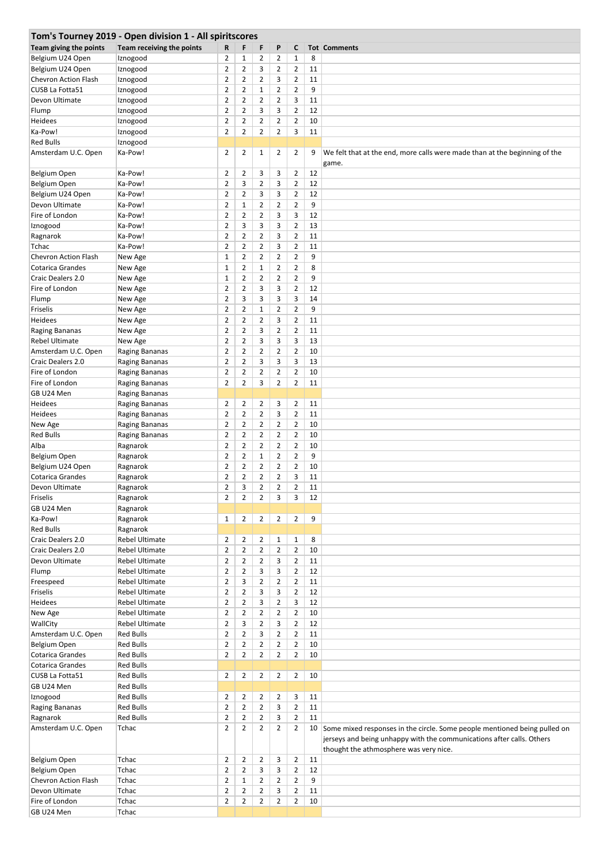|                             | Tom's Tourney 2019 - Open division 1 - All spiritscores |                |                |                |                |                |    |                                                                                                                 |
|-----------------------------|---------------------------------------------------------|----------------|----------------|----------------|----------------|----------------|----|-----------------------------------------------------------------------------------------------------------------|
| Team giving the points      | Team receiving the points                               | R              | F              | F              | P              | C              |    | <b>Tot Comments</b>                                                                                             |
| Belgium U24 Open            | Iznogood                                                | $\overline{2}$ | $\mathbf{1}$   | $\overline{2}$ | $\overline{2}$ | 1              | 8  |                                                                                                                 |
| Belgium U24 Open            | Iznogood                                                | $\overline{2}$ | $\overline{2}$ | 3              | $\overline{2}$ | $\overline{2}$ | 11 |                                                                                                                 |
| Chevron Action Flash        | Iznogood                                                | $\overline{2}$ | $\overline{2}$ | $\overline{2}$ | 3              | $\overline{2}$ | 11 |                                                                                                                 |
| CUSB La Fotta51             | Iznogood                                                | $\overline{2}$ | $\overline{2}$ | $\mathbf 1$    | $\overline{2}$ | $\overline{2}$ | 9  |                                                                                                                 |
| Devon Ultimate              | Iznogood                                                | $\overline{2}$ | $\overline{2}$ | $\overline{2}$ | $\overline{2}$ | 3              | 11 |                                                                                                                 |
| Flump                       | Iznogood                                                | $\overline{2}$ | $\overline{2}$ | 3              | 3              | $\overline{2}$ | 12 |                                                                                                                 |
| Heidees                     | Iznogood                                                | $\overline{2}$ | $\overline{2}$ | $\overline{2}$ | $\overline{2}$ | $\overline{2}$ | 10 |                                                                                                                 |
| Ka-Pow!                     | Iznogood                                                | $\overline{2}$ | $\overline{2}$ | $\overline{2}$ | $\overline{2}$ | 3              | 11 |                                                                                                                 |
| <b>Red Bulls</b>            | Iznogood                                                |                |                |                |                |                |    |                                                                                                                 |
| Amsterdam U.C. Open         | Ka-Pow!                                                 | $\overline{2}$ | 2              | $\mathbf{1}$   | $\overline{2}$ | $\overline{2}$ | 9  | We felt that at the end, more calls were made than at the beginning of the                                      |
|                             |                                                         |                |                |                |                |                |    | game.                                                                                                           |
| Belgium Open                | Ka-Pow!                                                 | $\overline{2}$ | $\overline{2}$ | 3              | 3              | $\overline{2}$ | 12 |                                                                                                                 |
| Belgium Open                | Ka-Pow!                                                 | $\overline{2}$ | 3              | $\overline{2}$ | 3              | $\overline{2}$ | 12 |                                                                                                                 |
| Belgium U24 Open            | Ka-Pow!                                                 | $\overline{2}$ | $\overline{2}$ | 3              | 3              | $\overline{2}$ | 12 |                                                                                                                 |
| Devon Ultimate              | Ka-Pow!                                                 | $\overline{2}$ | $\mathbf{1}$   | $\overline{2}$ | $\overline{2}$ | $\overline{2}$ | 9  |                                                                                                                 |
| Fire of London              | Ka-Pow!                                                 | $\overline{2}$ | $\overline{2}$ | $\overline{2}$ | 3              | 3              | 12 |                                                                                                                 |
| Iznogood                    | Ka-Pow!                                                 | $\overline{2}$ | 3              | 3              | 3              | $\overline{2}$ | 13 |                                                                                                                 |
| Ragnarok                    | Ka-Pow!                                                 | $\overline{2}$ | 2              | $\overline{2}$ | 3              | $\overline{2}$ | 11 |                                                                                                                 |
| Tchac                       | Ka-Pow!                                                 | $\overline{2}$ | $\overline{2}$ | $\overline{2}$ | 3              | $\overline{2}$ | 11 |                                                                                                                 |
| <b>Chevron Action Flash</b> | New Age                                                 | $\mathbf{1}$   | $\overline{2}$ | $\overline{2}$ | $\overline{2}$ | $\overline{2}$ | 9  |                                                                                                                 |
| <b>Cotarica Grandes</b>     | New Age                                                 | $\mathbf{1}$   | $\overline{2}$ | $\mathbf 1$    | 2              | $\overline{2}$ | 8  |                                                                                                                 |
| <b>Craic Dealers 2.0</b>    |                                                         | $\mathbf 1$    | $\overline{2}$ | $\overline{2}$ | $\overline{2}$ | $\overline{2}$ | 9  |                                                                                                                 |
|                             | New Age                                                 |                |                |                |                |                |    |                                                                                                                 |
| Fire of London              | New Age                                                 | $\overline{2}$ | $\overline{2}$ | 3              | 3              | $\overline{2}$ | 12 |                                                                                                                 |
| Flump                       | New Age                                                 | $\overline{2}$ | 3              | 3              | 3              | 3              | 14 |                                                                                                                 |
| Friselis                    | New Age                                                 | $\overline{2}$ | $\overline{2}$ | $\mathbf 1$    | $\overline{2}$ | $\overline{2}$ | 9  |                                                                                                                 |
| Heidees                     | New Age                                                 | $\overline{2}$ | $\overline{2}$ | $\overline{2}$ | 3              | $\overline{2}$ | 11 |                                                                                                                 |
| Raging Bananas              | New Age                                                 | $\overline{2}$ | $\overline{2}$ | 3              | $\overline{2}$ | $\overline{2}$ | 11 |                                                                                                                 |
| <b>Rebel Ultimate</b>       | New Age                                                 | $\overline{2}$ | 2              | 3              | 3              | 3              | 13 |                                                                                                                 |
| Amsterdam U.C. Open         | Raging Bananas                                          | $\overline{2}$ | $\overline{2}$ | $\overline{2}$ | $\overline{2}$ | $\overline{2}$ | 10 |                                                                                                                 |
| Craic Dealers 2.0           | Raging Bananas                                          | $\overline{2}$ | $\overline{2}$ | 3              | 3              | 3              | 13 |                                                                                                                 |
| Fire of London              | Raging Bananas                                          | $\overline{2}$ | $\overline{2}$ | $\overline{2}$ | $\overline{2}$ | $\overline{2}$ | 10 |                                                                                                                 |
| Fire of London              | Raging Bananas                                          | $\overline{2}$ | $\overline{2}$ | 3              | $\overline{2}$ | $\overline{2}$ | 11 |                                                                                                                 |
| GB U24 Men                  | Raging Bananas                                          |                |                |                |                |                |    |                                                                                                                 |
| Heidees                     | Raging Bananas                                          | $\overline{2}$ | 2              | 2              | 3              | $\overline{2}$ | 11 |                                                                                                                 |
| Heidees                     | Raging Bananas                                          | $\overline{2}$ | 2              | $\overline{2}$ | 3              | $\overline{2}$ | 11 |                                                                                                                 |
| New Age                     | Raging Bananas                                          | $\overline{2}$ | $\overline{2}$ | $\overline{2}$ | $\overline{2}$ | $\overline{2}$ | 10 |                                                                                                                 |
| <b>Red Bulls</b>            | Raging Bananas                                          | $\overline{2}$ | $\overline{2}$ | $\overline{2}$ | $\overline{2}$ | $\overline{2}$ | 10 |                                                                                                                 |
| Alba                        | Ragnarok                                                | $\overline{2}$ | $\overline{2}$ | $\overline{2}$ | 2              | $\overline{2}$ | 10 |                                                                                                                 |
| Belgium Open                | Ragnarok                                                | $\overline{2}$ | $\overline{2}$ | $\mathbf 1$    | $\overline{2}$ | $\overline{2}$ | 9  |                                                                                                                 |
| Belgium U24 Open            | Ragnarok                                                | $\overline{2}$ | $\overline{2}$ | $\overline{2}$ | $\overline{2}$ | $\overline{2}$ | 10 |                                                                                                                 |
| Cotarica Grandes            | Ragnarok                                                | 2              | $\overline{2}$ | $\overline{2}$ | 2              | 3              | 11 |                                                                                                                 |
| Devon Ultimate              | Ragnarok                                                | $\overline{2}$ | 3              | $\overline{2}$ | $\overline{2}$ | $\overline{2}$ | 11 |                                                                                                                 |
| Friselis                    | Ragnarok                                                | $\overline{2}$ | $\overline{2}$ | $\overline{2}$ | 3              | 3              | 12 |                                                                                                                 |
| GB U24 Men                  | Ragnarok                                                |                |                |                |                |                |    |                                                                                                                 |
| Ka-Pow!                     | Ragnarok                                                | 1              | $\overline{2}$ | $\overline{2}$ | $\overline{2}$ | $\overline{2}$ | 9  |                                                                                                                 |
| <b>Red Bulls</b>            | Ragnarok                                                |                |                |                |                |                |    |                                                                                                                 |
| Craic Dealers 2.0           | <b>Rebel Ultimate</b>                                   | $\overline{2}$ | $\overline{2}$ | $\overline{2}$ | $\mathbf{1}$   | $\mathbf{1}$   | 8  |                                                                                                                 |
| Craic Dealers 2.0           | <b>Rebel Ultimate</b>                                   | $\overline{2}$ | $\overline{2}$ | $\overline{2}$ | $\overline{2}$ | $\overline{2}$ | 10 |                                                                                                                 |
| Devon Ultimate              | <b>Rebel Ultimate</b>                                   | $\overline{2}$ | $\overline{2}$ | $\overline{2}$ | 3              | $\overline{2}$ | 11 |                                                                                                                 |
| Flump                       | <b>Rebel Ultimate</b>                                   | $\overline{2}$ | $\overline{2}$ | 3              | 3              | $\overline{2}$ | 12 |                                                                                                                 |
| Freespeed                   | <b>Rebel Ultimate</b>                                   | $\overline{2}$ | 3              | $\overline{2}$ | $\overline{2}$ | $\overline{2}$ | 11 |                                                                                                                 |
| Friselis                    | <b>Rebel Ultimate</b>                                   | $\overline{2}$ | $\overline{2}$ | 3              | 3              | $\overline{2}$ | 12 |                                                                                                                 |
| Heidees                     | <b>Rebel Ultimate</b>                                   | $\overline{2}$ | $\overline{2}$ | 3              | $\overline{2}$ | 3              | 12 |                                                                                                                 |
| New Age                     | <b>Rebel Ultimate</b>                                   | $\overline{2}$ | $\overline{2}$ | $\overline{2}$ | $\overline{2}$ | $\overline{2}$ | 10 |                                                                                                                 |
| WallCity                    | <b>Rebel Ultimate</b>                                   | $\overline{2}$ | 3              | $\overline{2}$ | 3              | $\overline{2}$ | 12 |                                                                                                                 |
| Amsterdam U.C. Open         | <b>Red Bulls</b>                                        | $\overline{2}$ | $\overline{2}$ | 3              | $\overline{2}$ | $\overline{2}$ | 11 |                                                                                                                 |
| Belgium Open                | <b>Red Bulls</b>                                        | $\overline{2}$ | $\overline{2}$ | $\overline{2}$ | $\overline{2}$ | $\overline{2}$ | 10 |                                                                                                                 |
| Cotarica Grandes            | <b>Red Bulls</b>                                        | $\overline{2}$ | $\overline{2}$ | $\overline{2}$ | $\overline{2}$ | $\overline{2}$ | 10 |                                                                                                                 |
| Cotarica Grandes            | <b>Red Bulls</b>                                        |                |                |                |                |                |    |                                                                                                                 |
| CUSB La Fotta51             | <b>Red Bulls</b>                                        | $\overline{2}$ | $\overline{2}$ | $\overline{2}$ | $\overline{2}$ | $\overline{2}$ | 10 |                                                                                                                 |
| GB U24 Men                  | <b>Red Bulls</b>                                        |                |                |                |                |                |    |                                                                                                                 |
| Iznogood                    | <b>Red Bulls</b>                                        | $\overline{2}$ | $\overline{2}$ | $\overline{2}$ | $\overline{2}$ | 3              | 11 |                                                                                                                 |
| Raging Bananas              | <b>Red Bulls</b>                                        | $\overline{2}$ | $\overline{2}$ | $\overline{2}$ | 3              | $\overline{2}$ | 11 |                                                                                                                 |
| Ragnarok                    | <b>Red Bulls</b>                                        | $\overline{2}$ | $\overline{2}$ | $\overline{2}$ | 3              | $\overline{2}$ | 11 |                                                                                                                 |
| Amsterdam U.C. Open         | Tchac                                                   | $\overline{2}$ | $\overline{2}$ | $\overline{2}$ | $\overline{2}$ | $\overline{2}$ | 10 | Some mixed responses in the circle. Some people mentioned being pulled on                                       |
|                             |                                                         |                |                |                |                |                |    | jerseys and being unhappy with the communications after calls. Others<br>thought the athmosphere was very nice. |
| Belgium Open                | Tchac                                                   | $\overline{2}$ | $\overline{2}$ | $\overline{2}$ | 3              | $\overline{2}$ | 11 |                                                                                                                 |
| Belgium Open                | Tchac                                                   | $\overline{2}$ | $\overline{2}$ | 3              | 3              | $\overline{2}$ | 12 |                                                                                                                 |
| Chevron Action Flash        | Tchac                                                   | $\overline{2}$ | $\mathbf{1}$   | $\overline{2}$ | $\overline{2}$ | $\overline{2}$ | 9  |                                                                                                                 |
| Devon Ultimate              | Tchac                                                   | $\overline{2}$ | $\overline{2}$ | $\overline{2}$ | 3              | $\overline{2}$ | 11 |                                                                                                                 |
| Fire of London              | Tchac                                                   | $\overline{2}$ | $\overline{2}$ | $\overline{2}$ | $\overline{2}$ | $\overline{2}$ | 10 |                                                                                                                 |
| GB U24 Men                  | Tchac                                                   |                |                |                |                |                |    |                                                                                                                 |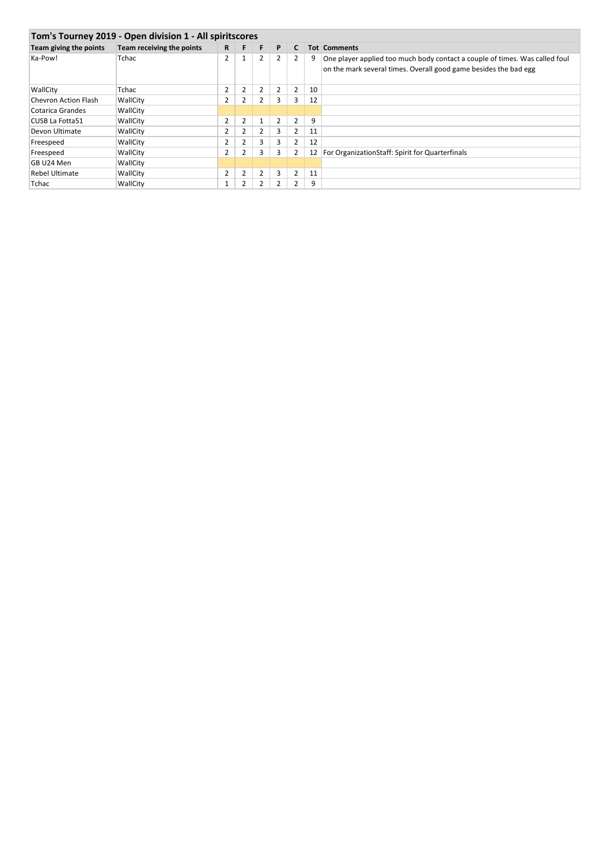| Tom's Tourney 2019 - Open division 1 - All spiritscores |                           |                |                |   |                |   |    |                                                                                                                                                 |  |  |  |  |  |
|---------------------------------------------------------|---------------------------|----------------|----------------|---|----------------|---|----|-------------------------------------------------------------------------------------------------------------------------------------------------|--|--|--|--|--|
| Team giving the points                                  | Team receiving the points | R              | F              | F | P              | C |    | <b>Tot Comments</b>                                                                                                                             |  |  |  |  |  |
| Ka-Pow!                                                 | Tchac                     | 2              | $\mathbf{1}$   | 2 | $\overline{2}$ | 2 | 9  | One player applied too much body contact a couple of times. Was called foul<br>on the mark several times. Overall good game besides the bad egg |  |  |  |  |  |
| WallCity                                                | Tchac                     | $\overline{2}$ | $\overline{2}$ |   | $\overline{2}$ | 2 | 10 |                                                                                                                                                 |  |  |  |  |  |
| <b>Chevron Action Flash</b>                             | WallCity                  | $\overline{2}$ | 2              |   | 3              | 3 | 12 |                                                                                                                                                 |  |  |  |  |  |
| Cotarica Grandes                                        | WallCity                  |                |                |   |                |   |    |                                                                                                                                                 |  |  |  |  |  |
| CUSB La Fotta51                                         | WallCity                  | 2              | $\overline{2}$ |   | 2              | 2 | 9  |                                                                                                                                                 |  |  |  |  |  |
| Devon Ultimate                                          | WallCity                  | 2              | 2              | 2 | 3              | 2 | 11 |                                                                                                                                                 |  |  |  |  |  |
| Freespeed                                               | WallCity                  | 2              | 2              |   | 3              | 2 | 12 |                                                                                                                                                 |  |  |  |  |  |
| Freespeed                                               | WallCity                  | $\overline{2}$ | 2              | 3 | 3              | 2 | 12 | For OrganizationStaff: Spirit for Quarterfinals                                                                                                 |  |  |  |  |  |
| GB U24 Men                                              | WallCity                  |                |                |   |                |   |    |                                                                                                                                                 |  |  |  |  |  |
| <b>Rebel Ultimate</b>                                   | WallCity                  | $\overline{2}$ | 2              | 2 | 3              | 2 | 11 |                                                                                                                                                 |  |  |  |  |  |
| Tchac                                                   | WallCity                  |                | 2              |   | $\overline{2}$ | 2 | 9  |                                                                                                                                                 |  |  |  |  |  |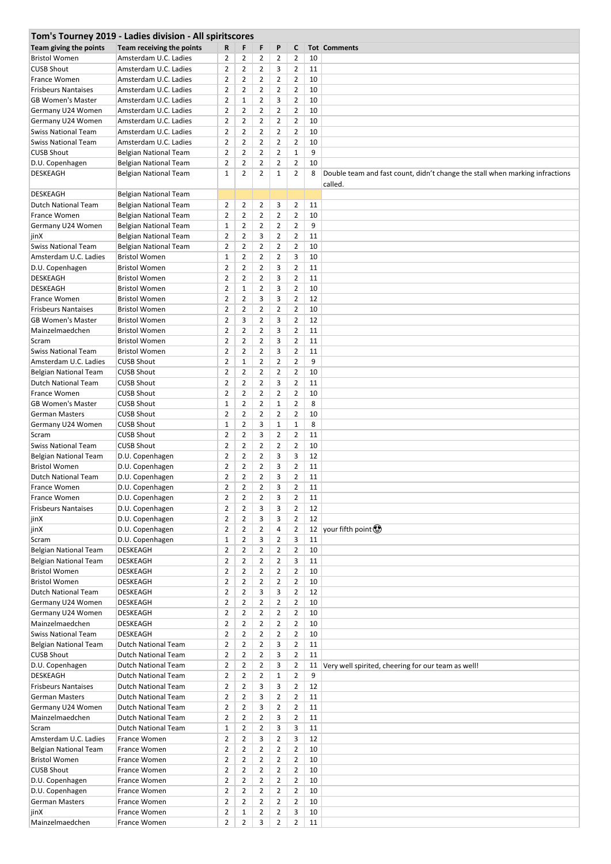| Tom's Tourney 2019 - Ladies division - All spiritscores |                              |                |                |                |                |                |    |                                                                              |  |  |  |
|---------------------------------------------------------|------------------------------|----------------|----------------|----------------|----------------|----------------|----|------------------------------------------------------------------------------|--|--|--|
| Team giving the points                                  | Team receiving the points    | R              | F              | F              | P              | C              |    | <b>Tot Comments</b>                                                          |  |  |  |
| <b>Bristol Women</b>                                    | Amsterdam U.C. Ladies        | 2              | 2              | 2              | 2              | 2              | 10 |                                                                              |  |  |  |
| <b>CUSB Shout</b>                                       | Amsterdam U.C. Ladies        | $\overline{2}$ | $\overline{2}$ | $\overline{2}$ | 3              | $\overline{2}$ | 11 |                                                                              |  |  |  |
| France Women                                            | Amsterdam U.C. Ladies        | $\overline{2}$ | $\overline{2}$ | $\overline{2}$ | $\overline{2}$ | $\overline{2}$ | 10 |                                                                              |  |  |  |
| <b>Frisbeurs Nantaises</b>                              | Amsterdam U.C. Ladies        | $\overline{2}$ | $\overline{2}$ | $\overline{2}$ | 2              | $\overline{2}$ | 10 |                                                                              |  |  |  |
| <b>GB Women's Master</b>                                | Amsterdam U.C. Ladies        | $\overline{2}$ | $\mathbf{1}$   | $\overline{2}$ | 3              | $\overline{2}$ | 10 |                                                                              |  |  |  |
| Germany U24 Women                                       | Amsterdam U.C. Ladies        | $\overline{2}$ | 2              | $\overline{2}$ | 2              | $\overline{2}$ | 10 |                                                                              |  |  |  |
| Germany U24 Women                                       | Amsterdam U.C. Ladies        | $\overline{2}$ | $\overline{2}$ | $\overline{2}$ | $\overline{2}$ | $\overline{2}$ | 10 |                                                                              |  |  |  |
| <b>Swiss National Team</b>                              | Amsterdam U.C. Ladies        | $\overline{2}$ | $\overline{2}$ | $\overline{2}$ | $\overline{2}$ | $\overline{2}$ | 10 |                                                                              |  |  |  |
| <b>Swiss National Team</b>                              | Amsterdam U.C. Ladies        | $\overline{2}$ | $\overline{2}$ | $\overline{2}$ | 2              | $\overline{2}$ | 10 |                                                                              |  |  |  |
| <b>CUSB Shout</b>                                       | Belgian National Team        | $\overline{2}$ | $\overline{2}$ | $\overline{2}$ | $\overline{2}$ | $\mathbf{1}$   | 9  |                                                                              |  |  |  |
| D.U. Copenhagen                                         | <b>Belgian National Team</b> | $\overline{2}$ | $\overline{2}$ | $\overline{2}$ | $\overline{2}$ | $\overline{2}$ | 10 |                                                                              |  |  |  |
| DESKEAGH                                                | Belgian National Team        | 1              | $\overline{2}$ | $\overline{2}$ | 1              | $\overline{2}$ | 8  | Double team and fast count, didn't change the stall when marking infractions |  |  |  |
|                                                         |                              |                |                |                |                |                |    | called.                                                                      |  |  |  |
| DESKEAGH                                                | Belgian National Team        |                |                |                |                |                |    |                                                                              |  |  |  |
| <b>Dutch National Team</b>                              | Belgian National Team        | 2              | 2              | 2              | 3              | $\overline{2}$ | 11 |                                                                              |  |  |  |
| France Women                                            | Belgian National Team        | $\overline{2}$ | 2              | $\overline{2}$ | $\overline{2}$ | 2              | 10 |                                                                              |  |  |  |
| Germany U24 Women                                       | <b>Belgian National Team</b> | $\mathbf{1}$   | $\overline{2}$ | $\overline{2}$ | $\overline{2}$ | $\overline{2}$ | 9  |                                                                              |  |  |  |
| jinX                                                    | Belgian National Team        | $\overline{2}$ | $\overline{2}$ | 3              | $\overline{2}$ | $\overline{2}$ | 11 |                                                                              |  |  |  |
| <b>Swiss National Team</b>                              | <b>Belgian National Team</b> | $\overline{2}$ | 2              | $\overline{2}$ | 2              | $\overline{2}$ | 10 |                                                                              |  |  |  |
| Amsterdam U.C. Ladies                                   | <b>Bristol Women</b>         | $\mathbf{1}$   | $\overline{2}$ | $\overline{2}$ | $\overline{2}$ | 3              | 10 |                                                                              |  |  |  |
| D.U. Copenhagen                                         | <b>Bristol Women</b>         | $\overline{2}$ | $\overline{2}$ | $\overline{2}$ | 3              | $\overline{2}$ | 11 |                                                                              |  |  |  |
| <b>DESKEAGH</b>                                         | <b>Bristol Women</b>         | $\overline{2}$ | $\overline{2}$ | $\overline{2}$ | 3              | $\overline{2}$ | 11 |                                                                              |  |  |  |
| <b>DESKEAGH</b>                                         | <b>Bristol Women</b>         | $\overline{2}$ | $\mathbf{1}$   | $\overline{2}$ | 3              | $\overline{2}$ | 10 |                                                                              |  |  |  |
| France Women                                            | <b>Bristol Women</b>         | $\overline{2}$ | $\overline{2}$ | 3              | 3              | $\overline{2}$ | 12 |                                                                              |  |  |  |
| <b>Frisbeurs Nantaises</b>                              | <b>Bristol Women</b>         | $\overline{2}$ | $\overline{2}$ | $\overline{2}$ | $\overline{2}$ | $\overline{2}$ | 10 |                                                                              |  |  |  |
| <b>GB Women's Master</b>                                | <b>Bristol Women</b>         | $\overline{2}$ | 3              | $\overline{2}$ | 3              | $\overline{2}$ | 12 |                                                                              |  |  |  |
| Mainzelmaedchen                                         | <b>Bristol Women</b>         | $\overline{2}$ | $\overline{2}$ | $\overline{2}$ | 3              | $\overline{2}$ | 11 |                                                                              |  |  |  |
| Scram                                                   | <b>Bristol Women</b>         | $\overline{2}$ | $\overline{2}$ | $\overline{2}$ | 3              | $\overline{2}$ | 11 |                                                                              |  |  |  |
| <b>Swiss National Team</b>                              | <b>Bristol Women</b>         | $\overline{2}$ | 2              | $\overline{2}$ | 3              | $\overline{2}$ | 11 |                                                                              |  |  |  |
| Amsterdam U.C. Ladies                                   | <b>CUSB Shout</b>            | $\overline{2}$ | $\mathbf{1}$   | $\overline{2}$ | $\overline{2}$ | $\overline{2}$ | 9  |                                                                              |  |  |  |
| Belgian National Team                                   | <b>CUSB Shout</b>            | $\overline{2}$ | $\overline{2}$ | $\overline{2}$ | 2              | $\overline{2}$ | 10 |                                                                              |  |  |  |
| Dutch National Team                                     | <b>CUSB Shout</b>            | $\overline{2}$ | $\overline{2}$ | $\overline{2}$ | 3              | $\overline{2}$ | 11 |                                                                              |  |  |  |
| France Women                                            | <b>CUSB Shout</b>            | $\overline{2}$ | $\overline{2}$ | $\overline{2}$ | $\overline{2}$ | $\overline{2}$ | 10 |                                                                              |  |  |  |
| <b>GB Women's Master</b>                                | <b>CUSB Shout</b>            | $\mathbf{1}$   | $\overline{2}$ | $\overline{2}$ | $\mathbf{1}$   | $\overline{2}$ | 8  |                                                                              |  |  |  |
| German Masters                                          | <b>CUSB Shout</b>            | $\overline{2}$ | $\overline{2}$ | $\overline{2}$ | $\overline{2}$ | $\overline{2}$ | 10 |                                                                              |  |  |  |
| Germany U24 Women                                       | <b>CUSB Shout</b>            | 1              | $\overline{2}$ | 3              | $\mathbf{1}$   | $\mathbf{1}$   | 8  |                                                                              |  |  |  |
| Scram                                                   | <b>CUSB Shout</b>            | $\overline{2}$ | $\overline{2}$ | 3              | $\overline{2}$ | $\overline{2}$ | 11 |                                                                              |  |  |  |
| <b>Swiss National Team</b>                              | <b>CUSB Shout</b>            | $\overline{2}$ | $\overline{2}$ | $\overline{2}$ | $\overline{2}$ | $\overline{2}$ | 10 |                                                                              |  |  |  |
| Belgian National Team                                   | D.U. Copenhagen              | $\overline{2}$ | 2              | $\overline{2}$ | 3              | 3              | 12 |                                                                              |  |  |  |
| <b>Bristol Women</b>                                    | D.U. Copenhagen              | $\overline{2}$ | $\overline{2}$ | $\overline{2}$ | 3              | $\overline{2}$ | 11 |                                                                              |  |  |  |
| Dutch National Team                                     | D.U. Copenhagen              | $\overline{2}$ | $\overline{2}$ | $\overline{2}$ | 3              | $\overline{2}$ | 11 |                                                                              |  |  |  |
| France Women                                            | D.U. Copenhagen              | 2              | $\overline{2}$ | $\overline{2}$ | 3              | $\overline{2}$ | 11 |                                                                              |  |  |  |
| France Women                                            | D.U. Copenhagen              | $\overline{2}$ | $\overline{2}$ | $\overline{2}$ | 3              | $\overline{2}$ | 11 |                                                                              |  |  |  |
| <b>Frisbeurs Nantaises</b>                              | D.U. Copenhagen              | $\overline{2}$ | $\overline{2}$ | 3              | 3              | $\overline{2}$ | 12 |                                                                              |  |  |  |
| jinX                                                    | D.U. Copenhagen              | $\overline{2}$ | $\overline{2}$ | 3              | 3              | $\overline{2}$ | 12 |                                                                              |  |  |  |
| jinX                                                    | D.U. Copenhagen              | $\overline{2}$ | $\overline{2}$ | $\overline{2}$ | 4              | $\overline{2}$ | 12 | your fifth point (9)                                                         |  |  |  |
| Scram                                                   | D.U. Copenhagen              | $\mathbf 1$    | $\overline{2}$ | 3              | $\overline{2}$ | 3              | 11 |                                                                              |  |  |  |
| <b>Belgian National Team</b>                            | DESKEAGH                     | $\overline{2}$ | $\overline{2}$ | $\overline{2}$ | $\overline{2}$ | $\overline{2}$ | 10 |                                                                              |  |  |  |
| <b>Belgian National Team</b>                            | <b>DESKEAGH</b>              | $\overline{2}$ | 2              | $\overline{2}$ | 2              | 3              | 11 |                                                                              |  |  |  |
| <b>Bristol Women</b>                                    | <b>DESKEAGH</b>              | $\overline{2}$ | $\overline{2}$ | $\overline{2}$ | $\overline{2}$ | $\overline{2}$ | 10 |                                                                              |  |  |  |
| <b>Bristol Women</b>                                    | <b>DESKEAGH</b>              | $\overline{2}$ | $\overline{2}$ | $\overline{2}$ | $\overline{2}$ | $\overline{2}$ | 10 |                                                                              |  |  |  |
| Dutch National Team                                     | <b>DESKEAGH</b>              | $\overline{2}$ | $\overline{2}$ | 3              | 3              | $\overline{2}$ | 12 |                                                                              |  |  |  |
| Germany U24 Women                                       | <b>DESKEAGH</b>              | $\overline{2}$ | $\overline{2}$ | $\overline{2}$ | $\overline{2}$ | $\overline{2}$ | 10 |                                                                              |  |  |  |
| Germany U24 Women                                       | <b>DESKEAGH</b>              | $\overline{2}$ | $\overline{2}$ | $\overline{2}$ | $\overline{2}$ | $\overline{2}$ | 10 |                                                                              |  |  |  |
| Mainzelmaedchen                                         | <b>DESKEAGH</b>              | $\overline{2}$ | $\overline{2}$ | $\overline{2}$ | $\overline{2}$ | $\overline{2}$ | 10 |                                                                              |  |  |  |
| <b>Swiss National Team</b>                              | <b>DESKEAGH</b>              | $\overline{2}$ | $\overline{2}$ | $\overline{2}$ | 2              | $\overline{2}$ | 10 |                                                                              |  |  |  |
| Belgian National Team                                   | Dutch National Team          | $\overline{2}$ | $\overline{2}$ | $\overline{2}$ | 3              | $\overline{2}$ | 11 |                                                                              |  |  |  |
| <b>CUSB Shout</b>                                       | <b>Dutch National Team</b>   | $\overline{2}$ | $\overline{2}$ | $\overline{2}$ | 3              | $\overline{2}$ | 11 |                                                                              |  |  |  |
| D.U. Copenhagen                                         | <b>Dutch National Team</b>   | $\overline{2}$ | $\overline{2}$ | $\overline{2}$ | 3              | $\overline{2}$ | 11 | Very well spirited, cheering for our team as well!                           |  |  |  |
| <b>DESKEAGH</b>                                         | Dutch National Team          | $\overline{2}$ | $\overline{2}$ | $\overline{2}$ | $\mathbf{1}$   | $\overline{2}$ | 9  |                                                                              |  |  |  |
| <b>Frisbeurs Nantaises</b>                              | <b>Dutch National Team</b>   | $\overline{2}$ | $\overline{2}$ | 3              | 3              | $\overline{2}$ | 12 |                                                                              |  |  |  |
| German Masters                                          | Dutch National Team          | $\overline{2}$ | $\overline{2}$ | 3              | $\overline{2}$ | $\overline{2}$ | 11 |                                                                              |  |  |  |
| Germany U24 Women                                       | <b>Dutch National Team</b>   | $\overline{2}$ | $\overline{2}$ | 3              | $\overline{2}$ | $\overline{2}$ | 11 |                                                                              |  |  |  |
| Mainzelmaedchen                                         | <b>Dutch National Team</b>   | $\overline{2}$ | $\overline{2}$ | $\overline{2}$ | 3              | $\overline{2}$ | 11 |                                                                              |  |  |  |
| Scram                                                   | <b>Dutch National Team</b>   | $\mathbf 1$    | $\overline{2}$ | $\overline{2}$ | 3              | 3              | 11 |                                                                              |  |  |  |
| Amsterdam U.C. Ladies                                   | France Women                 | $\overline{2}$ | $\overline{2}$ | 3              | 2              | 3              | 12 |                                                                              |  |  |  |
| Belgian National Team                                   | France Women                 | $\overline{2}$ | $\overline{2}$ | $\overline{2}$ | $\overline{2}$ | $\overline{2}$ | 10 |                                                                              |  |  |  |
| <b>Bristol Women</b>                                    | France Women                 | $\overline{2}$ | $\overline{2}$ | $\overline{2}$ | $\overline{2}$ | $\overline{2}$ | 10 |                                                                              |  |  |  |
| <b>CUSB Shout</b>                                       | France Women                 | $\overline{2}$ | $\overline{2}$ | $\overline{2}$ | $\overline{2}$ | $\overline{2}$ | 10 |                                                                              |  |  |  |
| D.U. Copenhagen                                         | France Women                 | $\overline{2}$ | $\overline{2}$ | $\overline{2}$ | $\overline{2}$ | $\overline{2}$ | 10 |                                                                              |  |  |  |
| D.U. Copenhagen                                         | France Women                 | $\overline{2}$ | $\overline{2}$ | $\overline{2}$ | $\overline{2}$ | $\overline{2}$ | 10 |                                                                              |  |  |  |
| German Masters                                          | France Women                 | $\overline{2}$ | $\overline{2}$ | $\overline{2}$ | $\overline{2}$ | $\overline{2}$ | 10 |                                                                              |  |  |  |
| jinX                                                    | France Women                 | $\overline{2}$ | $\mathbf{1}$   | $\overline{2}$ | $\overline{2}$ | 3              | 10 |                                                                              |  |  |  |
| Mainzelmaedchen                                         | France Women                 | $\overline{2}$ | $\overline{2}$ | 3              | $\overline{2}$ | $\overline{2}$ | 11 |                                                                              |  |  |  |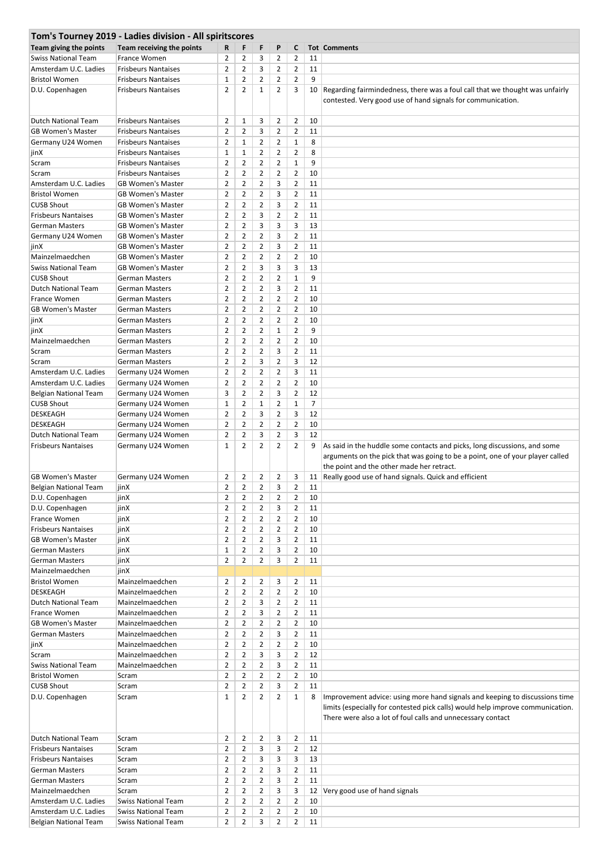|                              | Tom's Tourney 2019 - Ladies division - All spiritscores |                |                |                |                |                |                |                                                                                                                                                                                                                              |
|------------------------------|---------------------------------------------------------|----------------|----------------|----------------|----------------|----------------|----------------|------------------------------------------------------------------------------------------------------------------------------------------------------------------------------------------------------------------------------|
| Team giving the points       | Team receiving the points                               | R              | F              | F              | P              | C              |                | <b>Tot Comments</b>                                                                                                                                                                                                          |
| <b>Swiss National Team</b>   | France Women                                            | 2              | 2              | 3              | 2              | $\overline{2}$ | 11             |                                                                                                                                                                                                                              |
| Amsterdam U.C. Ladies        | <b>Frisbeurs Nantaises</b>                              | $\overline{2}$ | $\overline{2}$ | 3              | 2              | $\overline{2}$ | 11             |                                                                                                                                                                                                                              |
| <b>Bristol Women</b>         | <b>Frisbeurs Nantaises</b>                              | $\mathbf{1}$   | 2              | 2              | 2              | $\overline{2}$ | 9              |                                                                                                                                                                                                                              |
| D.U. Copenhagen              | <b>Frisbeurs Nantaises</b>                              | $\overline{2}$ | $\overline{2}$ | $\mathbf{1}$   | 2              | 3              | 10             | Regarding fairmindedness, there was a foul call that we thought was unfairly<br>contested. Very good use of hand signals for communication.                                                                                  |
| Dutch National Team          | <b>Frisbeurs Nantaises</b>                              | $\overline{2}$ | $\mathbf{1}$   | 3              | 2              | $\overline{2}$ | 10             |                                                                                                                                                                                                                              |
| <b>GB Women's Master</b>     | <b>Frisbeurs Nantaises</b>                              | $\overline{2}$ | 2              | 3              | 2              | $\overline{2}$ | 11             |                                                                                                                                                                                                                              |
| Germany U24 Women            | <b>Frisbeurs Nantaises</b>                              | $\overline{2}$ | $\mathbf{1}$   | $\overline{2}$ | $\overline{2}$ | $\mathbf{1}$   | 8              |                                                                                                                                                                                                                              |
| jinX                         | <b>Frisbeurs Nantaises</b>                              | $\mathbf{1}$   | $\mathbf{1}$   | $\overline{2}$ | 2              | $\overline{2}$ | 8              |                                                                                                                                                                                                                              |
| Scram                        | <b>Frisbeurs Nantaises</b>                              | $\overline{2}$ | $\overline{2}$ | 2              | 2              | $\mathbf{1}$   | 9              |                                                                                                                                                                                                                              |
| Scram                        | <b>Frisbeurs Nantaises</b>                              | $\overline{2}$ | $\overline{2}$ | $\overline{2}$ | 2              | $\overline{2}$ | 10             |                                                                                                                                                                                                                              |
| Amsterdam U.C. Ladies        | <b>GB Women's Master</b>                                | $\overline{2}$ | $\overline{2}$ | $\overline{2}$ | 3              | $\overline{2}$ | 11             |                                                                                                                                                                                                                              |
| <b>Bristol Women</b>         | <b>GB Women's Master</b>                                | $\overline{2}$ | 2              | $\overline{2}$ | 3              | $\overline{2}$ | 11             |                                                                                                                                                                                                                              |
| <b>CUSB Shout</b>            | <b>GB Women's Master</b>                                | $\overline{2}$ | $\overline{2}$ | $\overline{2}$ | 3              | $\overline{2}$ | 11             |                                                                                                                                                                                                                              |
| <b>Frisbeurs Nantaises</b>   | <b>GB Women's Master</b>                                | $\overline{2}$ | $\overline{2}$ | 3              | 2              | $\overline{2}$ | 11             |                                                                                                                                                                                                                              |
| <b>German Masters</b>        | <b>GB Women's Master</b>                                | $\overline{2}$ | $\overline{2}$ | 3              | 3              | 3              | 13             |                                                                                                                                                                                                                              |
| Germany U24 Women            | <b>GB Women's Master</b>                                | $\overline{2}$ | 2              | $\overline{2}$ | 3              | $\overline{2}$ | 11             |                                                                                                                                                                                                                              |
| jinX                         | <b>GB Women's Master</b>                                | $\overline{2}$ | $\overline{2}$ | $\overline{2}$ | 3              | $\overline{2}$ | 11             |                                                                                                                                                                                                                              |
| Mainzelmaedchen              | <b>GB Women's Master</b>                                | $\overline{2}$ | $\overline{2}$ | $\overline{2}$ | 2              | $\overline{2}$ | 10             |                                                                                                                                                                                                                              |
| <b>Swiss National Team</b>   | <b>GB Women's Master</b>                                | 2              | 2              | 3              | 3              | 3              | 13             |                                                                                                                                                                                                                              |
| <b>CUSB Shout</b>            | <b>German Masters</b>                                   | $\overline{2}$ | $\overline{2}$ | $\overline{2}$ | $\overline{2}$ | $\mathbf{1}$   | 9              |                                                                                                                                                                                                                              |
| Dutch National Team          | <b>German Masters</b>                                   | $\overline{2}$ | 2              | $\overline{2}$ | 3              | $\overline{2}$ | 11             |                                                                                                                                                                                                                              |
| France Women                 | <b>German Masters</b>                                   | $\overline{2}$ | $\overline{2}$ | $\overline{2}$ | 2              | $\overline{2}$ | 10             |                                                                                                                                                                                                                              |
| <b>GB Women's Master</b>     | <b>German Masters</b>                                   | $\overline{2}$ | $\overline{2}$ | $\overline{2}$ | 2              | $\overline{2}$ | 10             |                                                                                                                                                                                                                              |
| jinX                         | <b>German Masters</b>                                   | $\overline{2}$ | $\overline{2}$ | $\overline{2}$ | 2              | $\overline{2}$ | 10             |                                                                                                                                                                                                                              |
| jinX                         | <b>German Masters</b>                                   | $\overline{2}$ | $\overline{2}$ | $\overline{2}$ | $\mathbf{1}$   | $\overline{2}$ | 9              |                                                                                                                                                                                                                              |
| Mainzelmaedchen              | German Masters                                          | $\overline{2}$ | 2              | $\overline{2}$ | 2              | $\overline{2}$ | 10             |                                                                                                                                                                                                                              |
| Scram                        | <b>German Masters</b>                                   | $\overline{2}$ | $\overline{2}$ | $\overline{2}$ | 3              | $\overline{2}$ | 11             |                                                                                                                                                                                                                              |
| Scram                        | <b>German Masters</b>                                   | $\overline{2}$ | $\overline{2}$ | 3              | 2              | 3              | 12             |                                                                                                                                                                                                                              |
| Amsterdam U.C. Ladies        | Germany U24 Women                                       | $\overline{2}$ | 2              | 2              | 2              | 3              | 11             |                                                                                                                                                                                                                              |
| Amsterdam U.C. Ladies        | Germany U24 Women                                       | $\overline{2}$ | $\overline{2}$ | $\overline{2}$ | 2              | $\overline{2}$ | 10             |                                                                                                                                                                                                                              |
| Belgian National Team        | Germany U24 Women                                       | 3              | $\overline{2}$ | $\overline{2}$ | 3              | $\overline{2}$ | 12             |                                                                                                                                                                                                                              |
| <b>CUSB Shout</b>            | Germany U24 Women                                       | 1              | 2              | $\mathbf{1}$   | 2              | $\mathbf{1}$   | $\overline{7}$ |                                                                                                                                                                                                                              |
| <b>DESKEAGH</b>              | Germany U24 Women                                       | $\overline{2}$ | $\overline{2}$ | 3              | 2              | 3              | 12             |                                                                                                                                                                                                                              |
| <b>DESKEAGH</b>              | Germany U24 Women                                       | $\overline{2}$ | $\overline{2}$ | $\overline{2}$ | 2              | $\overline{2}$ | 10             |                                                                                                                                                                                                                              |
| Dutch National Team          | Germany U24 Women                                       | $\overline{2}$ | $\overline{2}$ | 3              | 2              | 3              | 12             |                                                                                                                                                                                                                              |
| <b>Frisbeurs Nantaises</b>   | Germany U24 Women                                       | 1              | $\overline{2}$ | $\overline{2}$ | 2              | $\overline{2}$ | 9              | As said in the huddle some contacts and picks, long discussions, and some<br>arguments on the pick that was going to be a point, one of your player called<br>the point and the other made her retract.                      |
| <b>GB Women's Master</b>     | Germany U24 Women                                       | 2              | 2              | 2              | 2              | 3              | 11             | Really good use of hand signals. Quick and efficient                                                                                                                                                                         |
| <b>Belgian National Team</b> | jinX                                                    | $\overline{2}$ | $\overline{2}$ | $\overline{2}$ | 3              | $\overline{2}$ | 11             |                                                                                                                                                                                                                              |
| D.U. Copenhagen              | jinX                                                    | 2              | 2              | 2              | 2              | $\overline{2}$ | 10             |                                                                                                                                                                                                                              |
| D.U. Copenhagen              | jinX                                                    | $\overline{2}$ | $\overline{2}$ | $\overline{2}$ | 3              | $\overline{2}$ | 11             |                                                                                                                                                                                                                              |
| France Women                 | jinX                                                    | $\overline{2}$ | $\overline{2}$ | $\overline{2}$ | 2              | $\overline{2}$ | 10             |                                                                                                                                                                                                                              |
| <b>Frisbeurs Nantaises</b>   | jinX                                                    | $\overline{2}$ | $\overline{2}$ | $\overline{2}$ | 2              | $\overline{2}$ | 10             |                                                                                                                                                                                                                              |
| <b>GB Women's Master</b>     | jinX                                                    | $\overline{2}$ | $\overline{2}$ | $\overline{2}$ | 3              | $\overline{2}$ | 11             |                                                                                                                                                                                                                              |
| <b>German Masters</b>        | jinX                                                    | $\mathbf{1}$   | 2              | $\overline{2}$ | 3              | $\overline{2}$ | 10             |                                                                                                                                                                                                                              |
| <b>German Masters</b>        | jinX                                                    | $\overline{2}$ | $\overline{2}$ | $\overline{2}$ | 3              | $\overline{2}$ | 11             |                                                                                                                                                                                                                              |
| Mainzelmaedchen              | jinX                                                    |                |                |                |                |                |                |                                                                                                                                                                                                                              |
| <b>Bristol Women</b>         | Mainzelmaedchen                                         | $\overline{2}$ | 2              | 2              | 3              | $\overline{2}$ | 11             |                                                                                                                                                                                                                              |
| <b>DESKEAGH</b>              | Mainzelmaedchen                                         | $\overline{2}$ | $\overline{2}$ | $\overline{2}$ | $\overline{2}$ | $\overline{2}$ | 10             |                                                                                                                                                                                                                              |
| <b>Dutch National Team</b>   | Mainzelmaedchen                                         | $\overline{2}$ | $\overline{2}$ | 3              | 2              | $\overline{2}$ | 11             |                                                                                                                                                                                                                              |
| France Women                 | Mainzelmaedchen                                         | $\overline{2}$ | $\overline{2}$ | 3              | 2              | $\overline{2}$ | 11             |                                                                                                                                                                                                                              |
| <b>GB Women's Master</b>     | Mainzelmaedchen                                         | $\overline{2}$ | $\overline{2}$ | $\overline{2}$ | 2              | $\overline{2}$ | 10             |                                                                                                                                                                                                                              |
| <b>German Masters</b>        | Mainzelmaedchen                                         | $\overline{2}$ | $\overline{2}$ | $\overline{2}$ | 3              | $\overline{2}$ | 11             |                                                                                                                                                                                                                              |
| jinX                         | Mainzelmaedchen                                         | $\overline{2}$ | $\overline{2}$ | $\overline{2}$ | 2              | $\overline{2}$ | 10             |                                                                                                                                                                                                                              |
| Scram                        | Mainzelmaedchen                                         | $\overline{2}$ | $\overline{2}$ | 3              | 3              | $\overline{2}$ | 12             |                                                                                                                                                                                                                              |
| <b>Swiss National Team</b>   | Mainzelmaedchen                                         | $\overline{2}$ | $\overline{2}$ | $\overline{2}$ | 3              | $\overline{2}$ | 11             |                                                                                                                                                                                                                              |
| <b>Bristol Women</b>         | Scram                                                   | $\overline{2}$ | $\overline{2}$ | $\overline{2}$ | $\overline{2}$ | $\overline{2}$ | 10             |                                                                                                                                                                                                                              |
| <b>CUSB Shout</b>            | Scram                                                   | $\overline{2}$ | 2              | $\overline{2}$ | 3              | $\overline{2}$ | 11             |                                                                                                                                                                                                                              |
| D.U. Copenhagen              | Scram                                                   | $\mathbf{1}$   | $\overline{2}$ | $\overline{2}$ | $\overline{2}$ | $\mathbf{1}$   | 8              | Improvement advice: using more hand signals and keeping to discussions time<br>limits (especially for contested pick calls) would help improve communication.<br>There were also a lot of foul calls and unnecessary contact |
| <b>Dutch National Team</b>   | Scram                                                   | 2              | 2              | 2              | 3              | $\overline{2}$ | 11             |                                                                                                                                                                                                                              |
| <b>Frisbeurs Nantaises</b>   | Scram                                                   | $\overline{2}$ | $\overline{2}$ | 3              | 3              | $\overline{2}$ | 12             |                                                                                                                                                                                                                              |
| <b>Frisbeurs Nantaises</b>   | Scram                                                   | $\overline{2}$ | 2              | 3              | 3              | 3              | 13             |                                                                                                                                                                                                                              |
| <b>German Masters</b>        | Scram                                                   | $\overline{2}$ | $\overline{2}$ | $\overline{2}$ | 3              | $\overline{2}$ | 11             |                                                                                                                                                                                                                              |
| <b>German Masters</b>        | Scram                                                   | $\overline{2}$ | $\overline{2}$ | $\overline{2}$ | 3              | $\overline{2}$ | 11             |                                                                                                                                                                                                                              |
| Mainzelmaedchen              | Scram                                                   | $\overline{2}$ | 2              | 2              | 3              | 3              | 12             | Very good use of hand signals                                                                                                                                                                                                |
| Amsterdam U.C. Ladies        | <b>Swiss National Team</b>                              | $\overline{2}$ | $\overline{2}$ | $\overline{2}$ | $\overline{2}$ | $\overline{2}$ | 10             |                                                                                                                                                                                                                              |
| Amsterdam U.C. Ladies        | <b>Swiss National Team</b>                              | $\overline{2}$ | $\overline{2}$ | 2              | 2              | $\overline{2}$ | 10             |                                                                                                                                                                                                                              |
| Belgian National Team        | <b>Swiss National Team</b>                              | $\overline{2}$ | $\overline{2}$ | 3              | $\overline{2}$ | $\overline{2}$ | 11             |                                                                                                                                                                                                                              |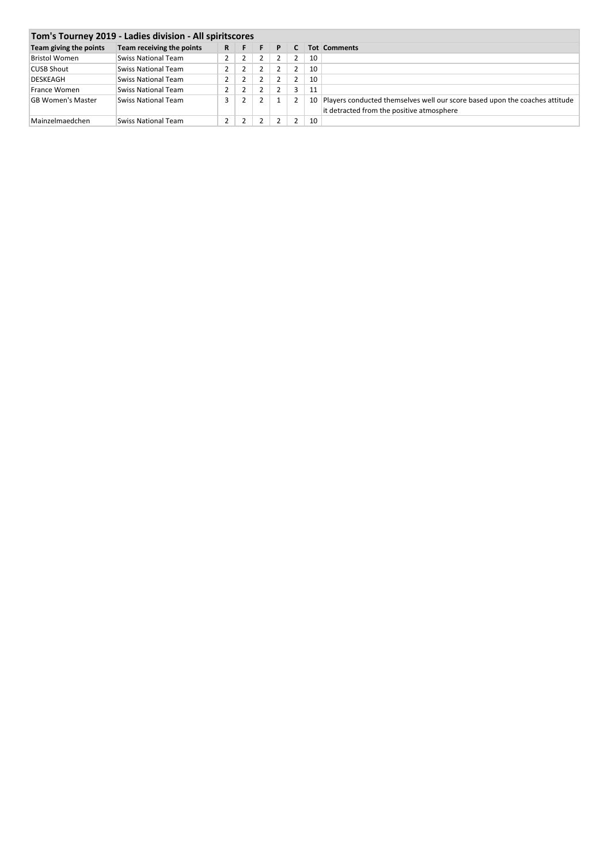| Team giving the points   | Team receiving the points | R. | F | F.             | $-$ P | <b>C</b>       |    | <b>Tot Comments</b>                                                                                                      |
|--------------------------|---------------------------|----|---|----------------|-------|----------------|----|--------------------------------------------------------------------------------------------------------------------------|
| <b>Bristol Women</b>     | Swiss National Team       |    | 2 | 2              |       | $\overline{2}$ | 10 |                                                                                                                          |
| <b>CUSB Shout</b>        | Swiss National Team       |    | 2 |                |       | $\overline{2}$ | 10 |                                                                                                                          |
| <b>DESKEAGH</b>          | Swiss National Team       |    | 2 | 2              |       | $\overline{2}$ | 10 |                                                                                                                          |
| France Women             | Swiss National Team       |    | 2 | 2              |       | 3              | 11 |                                                                                                                          |
| <b>GB Women's Master</b> | Swiss National Team       |    | 2 | 2              |       | 2              | 10 | Players conducted themselves well our score based upon the coaches attitude<br>it detracted from the positive atmosphere |
| Mainzelmaedchen          | Swiss National Team       |    | 2 | $\overline{2}$ |       | 2              | 10 |                                                                                                                          |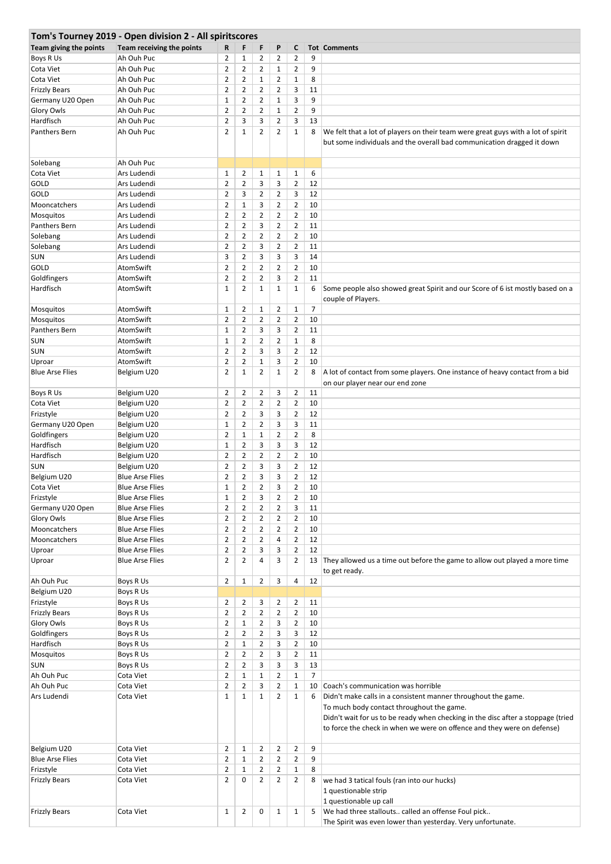|                        | Tom's Tourney 2019 - Open division 2 - All spiritscores |                |                |                |                |                |                |                                                                                                                                                                                                                                                                           |
|------------------------|---------------------------------------------------------|----------------|----------------|----------------|----------------|----------------|----------------|---------------------------------------------------------------------------------------------------------------------------------------------------------------------------------------------------------------------------------------------------------------------------|
| Team giving the points | Team receiving the points                               | R              | F              | F              | P              | C              |                | <b>Tot Comments</b>                                                                                                                                                                                                                                                       |
| Boys R Us              | Ah Ouh Puc                                              | 2              | 1              | $\overline{2}$ | $\overline{2}$ | $\overline{2}$ | 9              |                                                                                                                                                                                                                                                                           |
| Cota Viet              | Ah Ouh Puc                                              | $\overline{2}$ | $\overline{2}$ | $\overline{2}$ | $\mathbf{1}$   | $\overline{2}$ | 9              |                                                                                                                                                                                                                                                                           |
| Cota Viet              | Ah Ouh Puc                                              | $\overline{2}$ | $\overline{2}$ | $\mathbf{1}$   | $\overline{2}$ | $\mathbf{1}$   | 8              |                                                                                                                                                                                                                                                                           |
| <b>Frizzly Bears</b>   | Ah Ouh Puc                                              | 2              | $\overline{2}$ | $\overline{2}$ | 2              | 3              | 11             |                                                                                                                                                                                                                                                                           |
| Germany U20 Open       | Ah Ouh Puc                                              | $\mathbf 1$    | 2              | $\overline{2}$ | 1              | 3              | 9              |                                                                                                                                                                                                                                                                           |
| <b>Glory Owls</b>      | Ah Ouh Puc                                              | 2              | $\overline{2}$ | $\overline{2}$ | 1              | $\overline{2}$ | 9              |                                                                                                                                                                                                                                                                           |
| Hardfisch              | Ah Ouh Puc                                              | $\overline{2}$ | 3              | 3              | $\overline{2}$ | 3              | 13             |                                                                                                                                                                                                                                                                           |
| Panthers Bern          | Ah Ouh Puc                                              | $\overline{2}$ | $\mathbf{1}$   | $\overline{2}$ | 2              | $\mathbf{1}$   | 8              | We felt that a lot of players on their team were great guys with a lot of spirit                                                                                                                                                                                          |
|                        |                                                         |                |                |                |                |                |                | but some individuals and the overall bad communication dragged it down                                                                                                                                                                                                    |
| Solebang               | Ah Ouh Puc                                              |                |                |                |                |                |                |                                                                                                                                                                                                                                                                           |
| Cota Viet              | Ars Ludendi                                             | $\mathbf{1}$   | $\overline{2}$ | $\mathbf{1}$   | $\mathbf{1}$   | $\mathbf{1}$   | 6              |                                                                                                                                                                                                                                                                           |
| GOLD                   | Ars Ludendi                                             | $\overline{2}$ | $\overline{2}$ | 3              | 3              | $\overline{2}$ | 12             |                                                                                                                                                                                                                                                                           |
| <b>GOLD</b>            | Ars Ludendi                                             | $\overline{2}$ | 3              | $\overline{2}$ | $\overline{2}$ | 3              | 12             |                                                                                                                                                                                                                                                                           |
| Mooncatchers           | Ars Ludendi                                             | $\overline{2}$ | $\mathbf{1}$   | 3              | $\overline{2}$ | $\overline{2}$ | 10             |                                                                                                                                                                                                                                                                           |
| Mosquitos              | Ars Ludendi                                             | $\overline{2}$ | $\overline{2}$ | $\overline{2}$ | $\overline{2}$ | $\overline{2}$ | 10             |                                                                                                                                                                                                                                                                           |
| <b>Panthers Bern</b>   | Ars Ludendi                                             | $\overline{2}$ | $\overline{2}$ | 3              | $\overline{2}$ | $\overline{2}$ | 11             |                                                                                                                                                                                                                                                                           |
| Solebang               | Ars Ludendi                                             | $\overline{2}$ | $\overline{2}$ | $\overline{2}$ | 2              | $\overline{2}$ | 10             |                                                                                                                                                                                                                                                                           |
| Solebang               | Ars Ludendi                                             | $\overline{2}$ | $\overline{2}$ | 3              | 2              | $\overline{2}$ | 11             |                                                                                                                                                                                                                                                                           |
| <b>SUN</b>             | Ars Ludendi                                             | 3              | $\overline{2}$ | 3              | 3              | 3              | 14             |                                                                                                                                                                                                                                                                           |
| <b>GOLD</b>            | AtomSwift                                               | 2              | $\overline{2}$ | $\overline{2}$ | 2              | $\overline{2}$ | 10             |                                                                                                                                                                                                                                                                           |
| Goldfingers            | AtomSwift                                               | $\overline{2}$ | $\overline{2}$ | $\overline{2}$ | 3              | $\overline{2}$ | 11             |                                                                                                                                                                                                                                                                           |
| Hardfisch              | AtomSwift                                               | $\mathbf{1}$   | $\overline{2}$ | $\mathbf{1}$   | $\mathbf{1}$   | $\mathbf{1}$   | 6              | Some people also showed great Spirit and our Score of 6 ist mostly based on a                                                                                                                                                                                             |
|                        |                                                         |                |                |                |                |                |                | couple of Players.                                                                                                                                                                                                                                                        |
| Mosquitos              | AtomSwift                                               | 1              | 2              | $\mathbf 1$    | $\overline{2}$ | $\mathbf{1}$   | $\overline{7}$ |                                                                                                                                                                                                                                                                           |
| Mosquitos              | AtomSwift                                               | $\overline{2}$ | $\overline{2}$ | $\overline{2}$ | 2              | $\overline{2}$ | 10             |                                                                                                                                                                                                                                                                           |
| Panthers Bern          | AtomSwift                                               | $\mathbf{1}$   | $\overline{2}$ | 3              | 3              | $\overline{2}$ | 11             |                                                                                                                                                                                                                                                                           |
| <b>SUN</b>             | AtomSwift                                               | 1              | 2              | $\overline{2}$ | 2              | $\mathbf{1}$   | 8              |                                                                                                                                                                                                                                                                           |
| <b>SUN</b>             | AtomSwift                                               | $\overline{2}$ | $\overline{2}$ | 3              | 3              | $\overline{2}$ | 12             |                                                                                                                                                                                                                                                                           |
| Uproar                 | AtomSwift                                               | $\overline{2}$ | $\overline{2}$ | $\mathbf 1$    | 3              | $\overline{2}$ | 10             |                                                                                                                                                                                                                                                                           |
| <b>Blue Arse Flies</b> | Belgium U20                                             | $\overline{2}$ | $\mathbf{1}$   | $\overline{2}$ | 1              | $\overline{2}$ | 8              | A lot of contact from some players. One instance of heavy contact from a bid<br>on our player near our end zone                                                                                                                                                           |
| Boys R Us              | Belgium U20                                             | $\overline{2}$ | 2              | $\overline{2}$ | 3              | $\overline{2}$ | 11             |                                                                                                                                                                                                                                                                           |
| Cota Viet              | Belgium U20                                             | 2              | $\overline{2}$ | $\overline{2}$ | 2              | $\overline{2}$ | 10             |                                                                                                                                                                                                                                                                           |
| Frizstyle              | Belgium U20                                             | $\overline{2}$ | 2              | 3              | 3              | $\overline{2}$ | 12             |                                                                                                                                                                                                                                                                           |
| Germany U20 Open       | Belgium U20                                             | $\mathbf 1$    | $\overline{2}$ | $\overline{2}$ | 3              | 3              | 11             |                                                                                                                                                                                                                                                                           |
| Goldfingers            | Belgium U20                                             | $\overline{2}$ | $\mathbf{1}$   | $\mathbf{1}$   | $\overline{2}$ | $\overline{2}$ | 8              |                                                                                                                                                                                                                                                                           |
| Hardfisch              | Belgium U20                                             | 1              | 2              | 3              | 3              | 3              | 12             |                                                                                                                                                                                                                                                                           |
| Hardfisch              | Belgium U20                                             | $\overline{2}$ | $\overline{2}$ | $\overline{2}$ | 2              | $\overline{2}$ | 10             |                                                                                                                                                                                                                                                                           |
| <b>SUN</b>             | Belgium U20                                             | $\overline{2}$ | $\overline{2}$ | 3              | 3              | $\overline{2}$ | 12             |                                                                                                                                                                                                                                                                           |
| Belgium U20            | <b>Blue Arse Flies</b>                                  | 2              | $\overline{2}$ | 3              | 3              | $\overline{2}$ | 12             |                                                                                                                                                                                                                                                                           |
| Cota Viet              | <b>Blue Arse Flies</b>                                  | $\mathbf{1}$   | $\overline{2}$ | $\overline{2}$ | 3              | $\overline{2}$ | 10             |                                                                                                                                                                                                                                                                           |
| Frizstyle              | <b>Blue Arse Flies</b>                                  | 1              | 2              | 3              | 2              | $\overline{2}$ | 10             |                                                                                                                                                                                                                                                                           |
| Germany U20 Open       | <b>Blue Arse Flies</b>                                  | $\overline{2}$ | $\overline{2}$ | $\overline{2}$ | $\overline{2}$ | 3              | 11             |                                                                                                                                                                                                                                                                           |
| Glory Owls             | <b>Blue Arse Flies</b>                                  | 2              | 2              | $\overline{2}$ | $\overline{2}$ | $\overline{2}$ | 10             |                                                                                                                                                                                                                                                                           |
| Mooncatchers           | <b>Blue Arse Flies</b>                                  | $\overline{2}$ | $\overline{2}$ | $\overline{2}$ | $\overline{2}$ | $\overline{2}$ | 10             |                                                                                                                                                                                                                                                                           |
| Mooncatchers           | <b>Blue Arse Flies</b>                                  | $\overline{2}$ | $\overline{2}$ | $\overline{2}$ | 4              | $\overline{2}$ | 12             |                                                                                                                                                                                                                                                                           |
| Uproar                 | <b>Blue Arse Flies</b>                                  | $\overline{2}$ | 2              | 3              | 3              | $\overline{2}$ | 12             |                                                                                                                                                                                                                                                                           |
| Uproar                 | <b>Blue Arse Flies</b>                                  | $\overline{2}$ | $\overline{2}$ | 4              | 3              | $\overline{2}$ |                | 13 They allowed us a time out before the game to allow out played a more time                                                                                                                                                                                             |
|                        |                                                         |                |                |                |                |                |                | to get ready.                                                                                                                                                                                                                                                             |
| Ah Ouh Puc             | Boys R Us                                               | 2              | $\mathbf{1}$   | $\overline{2}$ | 3              | 4              | 12             |                                                                                                                                                                                                                                                                           |
| Belgium U20            | Boys R Us                                               |                |                |                |                |                |                |                                                                                                                                                                                                                                                                           |
| Frizstyle              | Boys R Us                                               | $\overline{2}$ | 2              | 3              | $\overline{2}$ | $\overline{2}$ | 11             |                                                                                                                                                                                                                                                                           |
| <b>Frizzly Bears</b>   | Boys R Us                                               | $\overline{2}$ | $\overline{2}$ | $\overline{2}$ | $\overline{2}$ | $\overline{2}$ | 10             |                                                                                                                                                                                                                                                                           |
| Glory Owls             | Boys R Us                                               | $\overline{2}$ | $\mathbf{1}$   | $\overline{2}$ | 3              | $\overline{2}$ | 10             |                                                                                                                                                                                                                                                                           |
| Goldfingers            | Boys R Us                                               | $\overline{2}$ | $\overline{2}$ | $\overline{2}$ | 3              | 3              | 12             |                                                                                                                                                                                                                                                                           |
| Hardfisch              | Boys R Us                                               | $\overline{2}$ | $\mathbf{1}$   | $\overline{2}$ | 3              | $\overline{2}$ | 10             |                                                                                                                                                                                                                                                                           |
| Mosquitos              | Boys R Us                                               | 2              | 2              | 2              | 3              | $\overline{2}$ | 11             |                                                                                                                                                                                                                                                                           |
| <b>SUN</b>             | Boys R Us                                               | $\overline{2}$ | $\overline{2}$ | 3              | 3              | 3              | 13             |                                                                                                                                                                                                                                                                           |
| Ah Ouh Puc             | Cota Viet                                               | $\overline{2}$ | $\mathbf{1}$   | $\mathbf{1}$   | $\overline{2}$ | $\mathbf{1}$   | $\overline{7}$ |                                                                                                                                                                                                                                                                           |
| Ah Ouh Puc             | Cota Viet                                               | $\overline{2}$ | $\overline{2}$ | 3              | 2              | $\mathbf{1}$   | 10             | Coach's communication was horrible                                                                                                                                                                                                                                        |
| Ars Ludendi            | Cota Viet                                               | $\mathbf{1}$   | $\mathbf{1}$   | $\mathbf{1}$   | $\overline{2}$ | $\mathbf{1}$   | 6              | Didn't make calls in a consistent manner throughout the game.<br>To much body contact throughout the game.<br>Didn't wait for us to be ready when checking in the disc after a stoppage (tried<br>to force the check in when we were on offence and they were on defense) |
| Belgium U20            | Cota Viet                                               | $\overline{2}$ | $\mathbf{1}$   | $\overline{2}$ | $\overline{2}$ | $\overline{2}$ | 9              |                                                                                                                                                                                                                                                                           |
| <b>Blue Arse Flies</b> | Cota Viet                                               | $\overline{2}$ | $\mathbf{1}$   | $\overline{2}$ | $\overline{2}$ | $\overline{2}$ | 9              |                                                                                                                                                                                                                                                                           |
| Frizstyle              | Cota Viet                                               | $\overline{2}$ | $\mathbf 1$    | $\overline{2}$ | $\overline{2}$ | $\mathbf{1}$   | 8              |                                                                                                                                                                                                                                                                           |
| <b>Frizzly Bears</b>   | Cota Viet                                               | $\overline{2}$ | 0              | $\overline{2}$ | $\overline{2}$ | $\overline{2}$ | 8              | we had 3 tatical fouls (ran into our hucks)<br>1 questionable strip<br>1 questionable up call                                                                                                                                                                             |
| <b>Frizzly Bears</b>   | Cota Viet                                               | 1              | $\overline{2}$ | 0              | $\mathbf{1}$   | $\mathbf{1}$   | 5              | We had three stallouts called an offense Foul pick<br>The Spirit was even lower than yesterday. Very unfortunate.                                                                                                                                                         |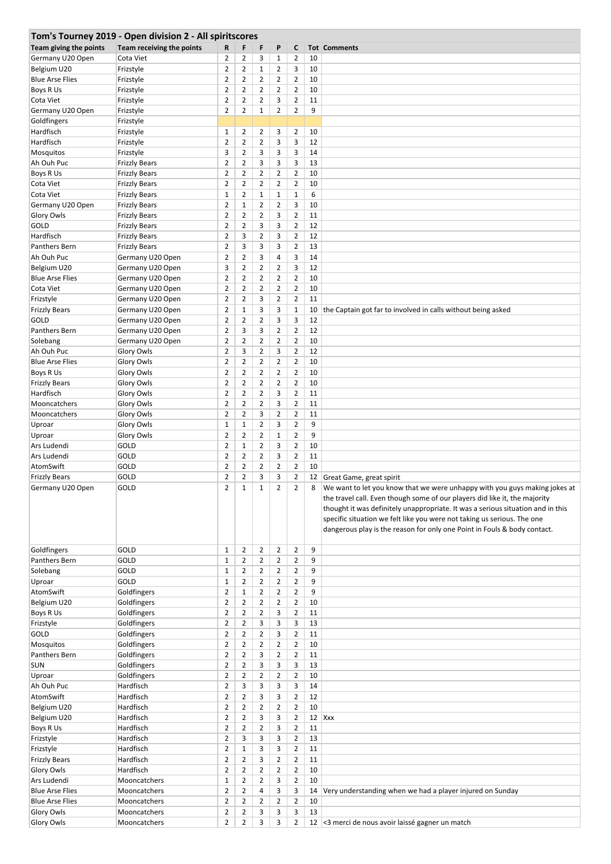| Tom's Tourney 2019 - Open division 2 - All spiritscores |                           |                |                |                |                |                |          |                                                                                 |  |  |  |
|---------------------------------------------------------|---------------------------|----------------|----------------|----------------|----------------|----------------|----------|---------------------------------------------------------------------------------|--|--|--|
| Team giving the points                                  | Team receiving the points | R              | F              | F              | P              | C              |          | <b>Tot Comments</b>                                                             |  |  |  |
| Germany U20 Open                                        | Cota Viet                 | 2              | $\overline{2}$ | 3              | $\mathbf{1}$   | 2              | 10       |                                                                                 |  |  |  |
| Belgium U20                                             | Frizstyle                 | $\overline{2}$ | $\overline{2}$ | $\mathbf{1}$   | $\overline{2}$ | 3              | 10       |                                                                                 |  |  |  |
| <b>Blue Arse Flies</b>                                  | Frizstyle                 | $\overline{2}$ | 2              | $\overline{2}$ | $\overline{2}$ | $\overline{2}$ | 10       |                                                                                 |  |  |  |
| Boys R Us                                               | Frizstyle                 | $\overline{2}$ | $\overline{2}$ | $\overline{2}$ | $\overline{2}$ | $\overline{2}$ | 10       |                                                                                 |  |  |  |
| Cota Viet                                               | Frizstyle                 | $\overline{2}$ | $\overline{2}$ | $\overline{2}$ | 3              | $\overline{2}$ | 11       |                                                                                 |  |  |  |
| Germany U20 Open                                        | Frizstyle                 | $\overline{2}$ | $\overline{2}$ | $\mathbf{1}$   | $\overline{2}$ | $\overline{2}$ | 9        |                                                                                 |  |  |  |
| Goldfingers                                             | Frizstyle                 |                |                |                |                |                |          |                                                                                 |  |  |  |
| Hardfisch                                               | Frizstyle                 | 1              | 2              | 2              | 3              | $\overline{2}$ | 10       |                                                                                 |  |  |  |
| Hardfisch                                               | Frizstyle                 | $\overline{2}$ | $\overline{2}$ | $\overline{2}$ | 3              | 3              | 12       |                                                                                 |  |  |  |
| Mosquitos                                               | Frizstyle                 | 3              | $\overline{2}$ | 3              | 3              | 3              | 14       |                                                                                 |  |  |  |
| Ah Ouh Puc                                              | <b>Frizzly Bears</b>      | $\overline{2}$ | $\overline{2}$ | 3              | 3              | 3              | 13       |                                                                                 |  |  |  |
| Boys R Us                                               | <b>Frizzly Bears</b>      | $\overline{2}$ | $\overline{2}$ | $\overline{2}$ | $\overline{2}$ | $\overline{2}$ | 10       |                                                                                 |  |  |  |
| Cota Viet                                               | <b>Frizzly Bears</b>      | $\overline{2}$ | $\overline{2}$ | $\overline{2}$ | $\overline{2}$ | $\overline{2}$ | 10       |                                                                                 |  |  |  |
| Cota Viet                                               | <b>Frizzly Bears</b>      | $\mathbf 1$    | $\overline{2}$ | $\mathbf 1$    | $\mathbf{1}$   | $1\,$          | 6        |                                                                                 |  |  |  |
| Germany U20 Open                                        | <b>Frizzly Bears</b>      | $\overline{2}$ | $\mathbf{1}$   | $\overline{2}$ | $\overline{2}$ | 3              | 10       |                                                                                 |  |  |  |
| <b>Glory Owls</b>                                       | <b>Frizzly Bears</b>      | $\overline{2}$ | 2              | $\overline{2}$ | 3              | $\overline{2}$ | 11       |                                                                                 |  |  |  |
| GOLD                                                    | <b>Frizzly Bears</b>      | $\overline{2}$ | $\overline{2}$ | 3              | 3              | $\overline{2}$ | 12       |                                                                                 |  |  |  |
| Hardfisch                                               | <b>Frizzly Bears</b>      | $\overline{2}$ | 3              | $\overline{2}$ | 3              | $\overline{2}$ | 12       |                                                                                 |  |  |  |
| Panthers Bern                                           | <b>Frizzly Bears</b>      | $\overline{2}$ | 3              | 3              | 3              | $\overline{2}$ | 13       |                                                                                 |  |  |  |
| Ah Ouh Puc                                              | Germany U20 Open          | $\overline{2}$ | $\overline{2}$ | 3              | $\overline{4}$ | 3              | 14       |                                                                                 |  |  |  |
| Belgium U20                                             | Germany U20 Open          | 3              | $\overline{2}$ | $\overline{2}$ | 2              | 3              | 12       |                                                                                 |  |  |  |
| <b>Blue Arse Flies</b>                                  | Germany U20 Open          | $\overline{2}$ | $\overline{2}$ | $\overline{2}$ | $\overline{2}$ | $\overline{2}$ | 10       |                                                                                 |  |  |  |
| Cota Viet                                               | Germany U20 Open          | $\overline{2}$ | $\overline{2}$ | $\overline{2}$ | $\overline{2}$ | $\overline{2}$ | 10       |                                                                                 |  |  |  |
| Frizstyle                                               | Germany U20 Open          | $\overline{2}$ | $\overline{2}$ | 3              | $\overline{2}$ | $\overline{2}$ | 11       |                                                                                 |  |  |  |
| <b>Frizzly Bears</b>                                    | Germany U20 Open          | $\overline{2}$ | $\mathbf{1}$   | 3              | 3              | $\mathbf{1}$   | 10       | the Captain got far to involved in calls without being asked                    |  |  |  |
| GOLD                                                    | Germany U20 Open          | $\overline{2}$ | 2              | $\overline{2}$ | 3              | 3              | 12       |                                                                                 |  |  |  |
| <b>Panthers Bern</b>                                    | Germany U20 Open          | $\overline{2}$ | 3              | 3              | $\overline{2}$ | $\overline{2}$ | 12       |                                                                                 |  |  |  |
| Solebang                                                | Germany U20 Open          | $\overline{2}$ | $\overline{2}$ | $\overline{2}$ | $\overline{2}$ | $\overline{2}$ | 10       |                                                                                 |  |  |  |
| Ah Ouh Puc                                              | Glory Owls                | $\overline{2}$ | 3              | $\overline{2}$ | 3              | $\overline{2}$ | 12       |                                                                                 |  |  |  |
| <b>Blue Arse Flies</b>                                  | Glory Owls                | $\overline{2}$ | $\overline{2}$ | $\overline{2}$ | $\overline{2}$ | $\overline{2}$ | 10       |                                                                                 |  |  |  |
| Boys R Us                                               | Glory Owls                | $\overline{2}$ | $\overline{2}$ | $\overline{2}$ | $\overline{2}$ | $\overline{2}$ | 10       |                                                                                 |  |  |  |
| <b>Frizzly Bears</b>                                    | Glory Owls                | $\overline{2}$ | $\overline{2}$ | $\overline{2}$ | $\overline{2}$ | $\overline{2}$ | 10       |                                                                                 |  |  |  |
| Hardfisch                                               | Glory Owls                | $\overline{2}$ | 2              | $\overline{2}$ | 3              | $\overline{2}$ | 11       |                                                                                 |  |  |  |
| Mooncatchers                                            | Glory Owls                | $\overline{2}$ | $\overline{2}$ | $\overline{2}$ | 3              | $\overline{2}$ | 11       |                                                                                 |  |  |  |
| Mooncatchers                                            | Glory Owls                | $\overline{2}$ | $\overline{2}$ | 3              | $\overline{2}$ | $\overline{2}$ | 11       |                                                                                 |  |  |  |
| Uproar                                                  | Glory Owls                | 1              | $\mathbf{1}$   | $\overline{2}$ | 3              | $\overline{2}$ | 9        |                                                                                 |  |  |  |
| Uproar                                                  | Glory Owls                | $\overline{2}$ | $\overline{2}$ | $\overline{2}$ | $\mathbf{1}$   | $\overline{2}$ | 9        |                                                                                 |  |  |  |
| Ars Ludendi                                             | GOLD                      | $\overline{2}$ | $\mathbf{1}$   | $\overline{2}$ | 3              | $\overline{2}$ | 10       |                                                                                 |  |  |  |
| Ars Ludendi                                             | GOLD                      | $\overline{2}$ | $\overline{2}$ | $\overline{2}$ | 3              | $\overline{2}$ | 11       |                                                                                 |  |  |  |
| AtomSwift                                               | GOLD                      | $\overline{2}$ | $\overline{2}$ | $\overline{2}$ | $\overline{2}$ | $\overline{2}$ | 10       |                                                                                 |  |  |  |
| <b>Frizzly Bears</b>                                    | GOLD                      | $\overline{2}$ | 2              | 3              | 3              | $\overline{2}$ |          | 12 Great Game, great spirit                                                     |  |  |  |
| Germany U20 Open                                        | GOLD                      | $\overline{2}$ | $\mathbf{1}$   | $\mathbf{1}$   | $\overline{2}$ | $\overline{2}$ | 8        | We want to let you know that we were unhappy with you guys making jokes at      |  |  |  |
|                                                         |                           |                |                |                |                |                |          | the travel call. Even though some of our players did like it, the majority      |  |  |  |
|                                                         |                           |                |                |                |                |                |          | thought it was definitely unappropriate. It was a serious situation and in this |  |  |  |
|                                                         |                           |                |                |                |                |                |          | specific situation we felt like you were not taking us serious. The one         |  |  |  |
|                                                         |                           |                |                |                |                |                |          | dangerous play is the reason for only one Point in Fouls & body contact.        |  |  |  |
|                                                         |                           |                |                |                |                |                |          |                                                                                 |  |  |  |
| Goldfingers                                             | GOLD                      | 1              | $\overline{2}$ | $\overline{2}$ | $\overline{2}$ | $\overline{2}$ | 9        |                                                                                 |  |  |  |
| Panthers Bern                                           | GOLD                      | $\mathbf{1}$   | 2              | 2              | 2              | $\overline{2}$ | 9        |                                                                                 |  |  |  |
| Solebang                                                | GOLD                      | 1              | $\overline{2}$ | $\overline{2}$ | $\overline{2}$ | $\overline{2}$ | 9        |                                                                                 |  |  |  |
| Uproar                                                  | GOLD                      | $\mathbf{1}$   | 2              | 2              | 2              | $\overline{2}$ | 9        |                                                                                 |  |  |  |
| AtomSwift                                               | Goldfingers               | $\overline{2}$ | $\mathbf{1}$   | $\overline{2}$ | $\overline{2}$ | $\overline{2}$ | 9        |                                                                                 |  |  |  |
| Belgium U20<br>Boys R Us                                | Goldfingers               | $\overline{2}$ | 2              | 2              | 2              | $\overline{2}$ | 10       |                                                                                 |  |  |  |
|                                                         | Goldfingers               | $\overline{2}$ | $\overline{2}$ | $\overline{2}$ | 3              | $\overline{2}$ | 11       |                                                                                 |  |  |  |
| Frizstyle                                               | Goldfingers               | $\overline{2}$ | $\overline{2}$ | 3              | 3              | 3              | 13       |                                                                                 |  |  |  |
| GOLD                                                    | Goldfingers               | $\overline{2}$ | 2              | $\overline{2}$ | 3              | $\overline{2}$ | 11       |                                                                                 |  |  |  |
| Mosquitos                                               | Goldfingers               | $\overline{2}$ | $\overline{2}$ | $\overline{2}$ | $\overline{2}$ | $\overline{2}$ | 10       |                                                                                 |  |  |  |
| Panthers Bern                                           | Goldfingers               | $\overline{2}$ | $\overline{2}$ | 3              | $\overline{2}$ | $\overline{2}$ | 11       |                                                                                 |  |  |  |
| <b>SUN</b>                                              | Goldfingers               | 2              | 2              | 3              | 3              | 3              | 13       |                                                                                 |  |  |  |
| Uproar                                                  | Goldfingers               | $\overline{2}$ | $\overline{2}$ | $\overline{2}$ | $\overline{2}$ | $\overline{2}$ | 10       |                                                                                 |  |  |  |
| Ah Ouh Puc                                              | Hardfisch                 | $\overline{2}$ | 3              | 3              | 3              | 3              | 14       |                                                                                 |  |  |  |
| AtomSwift                                               | Hardfisch                 | $\overline{2}$ | $\overline{2}$ | 3              | 3              | $\overline{2}$ | 12       |                                                                                 |  |  |  |
| Belgium U20                                             | Hardfisch                 | $\overline{2}$ | 2              | $\overline{2}$ | 2              | $\overline{2}$ | 10       |                                                                                 |  |  |  |
| Belgium U20                                             | Hardfisch                 | $\overline{2}$ | $\overline{2}$ | 3              | 3              | $\overline{2}$ | $12$ Xxx |                                                                                 |  |  |  |
| Boys R Us                                               | Hardfisch                 | $\overline{2}$ | $\overline{2}$ | $\overline{2}$ | 3              | $\overline{2}$ | 11       |                                                                                 |  |  |  |
| Frizstyle                                               | Hardfisch                 | $\overline{2}$ | 3              | 3              | 3              | $\overline{2}$ | 13       |                                                                                 |  |  |  |
| Frizstyle                                               | Hardfisch                 | $\overline{2}$ | $\mathbf{1}$   | 3              | 3              | $\overline{2}$ | 11       |                                                                                 |  |  |  |
| <b>Frizzly Bears</b>                                    | Hardfisch                 | $\overline{2}$ | 2              | 3              | $\overline{2}$ | $\overline{2}$ | 11       |                                                                                 |  |  |  |
| Glory Owls                                              | Hardfisch                 | $\overline{2}$ | 2              | $\overline{2}$ | 2              | $\overline{2}$ | 10       |                                                                                 |  |  |  |
| Ars Ludendi                                             | Mooncatchers              | $\mathbf{1}$   | $\overline{2}$ | $\overline{2}$ | 3              | $\overline{2}$ | 10       |                                                                                 |  |  |  |
| <b>Blue Arse Flies</b>                                  | Mooncatchers              | $\overline{2}$ | $\overline{2}$ | 4              | 3              | 3              | 14       | Very understanding when we had a player injured on Sunday                       |  |  |  |
| <b>Blue Arse Flies</b>                                  | Mooncatchers              | $\overline{2}$ | $\overline{2}$ | $\overline{2}$ | $\overline{2}$ | $\overline{2}$ | 10       |                                                                                 |  |  |  |
| Glory Owls                                              | Mooncatchers              | $\overline{2}$ | 2              | 3              | 3              | 3              | 13       |                                                                                 |  |  |  |
| Glory Owls                                              | Mooncatchers              | $\overline{2}$ | $\overline{2}$ | 3              | 3              | $\overline{2}$ |          | 12 < 3 merci de nous avoir laissé gagner un match                               |  |  |  |